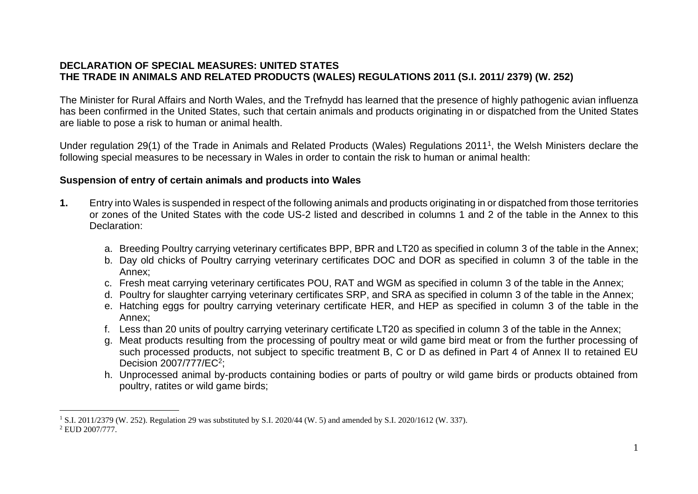## **DECLARATION OF SPECIAL MEASURES: UNITED STATES THE TRADE IN ANIMALS AND RELATED PRODUCTS (WALES) REGULATIONS 2011 (S.I. 2011/ 2379) (W. 252)**

The Minister for Rural Affairs and North Wales, and the Trefnydd has learned that the presence of highly pathogenic avian influenza has been confirmed in the United States, such that certain animals and products originating in or dispatched from the United States are liable to pose a risk to human or animal health.

Under regulation 29(1) of the Trade in Animals and Related Products (Wales) Regulations 2011<sup>1</sup>, the Welsh Ministers declare the following special measures to be necessary in Wales in order to contain the risk to human or animal health:

## **Suspension of entry of certain animals and products into Wales**

- **1.** Entry into Wales is suspended in respect of the following animals and products originating in or dispatched from those territories or zones of the United States with the code US-2 listed and described in columns 1 and 2 of the table in the Annex to this Declaration:
	- a. Breeding Poultry carrying veterinary certificates BPP, BPR and LT20 as specified in column 3 of the table in the Annex;
	- b. Day old chicks of Poultry carrying veterinary certificates DOC and DOR as specified in column 3 of the table in the Annex;
	- c. Fresh meat carrying veterinary certificates POU, RAT and WGM as specified in column 3 of the table in the Annex;
	- d. Poultry for slaughter carrying veterinary certificates SRP, and SRA as specified in column 3 of the table in the Annex;
	- e. Hatching eggs for poultry carrying veterinary certificate HER, and HEP as specified in column 3 of the table in the Annex;
	- f. Less than 20 units of poultry carrying veterinary certificate LT20 as specified in column 3 of the table in the Annex;
	- g. Meat products resulting from the processing of poultry meat or wild game bird meat or from the further processing of such processed products, not subject to specific treatment B, C or D as defined in Part 4 of Annex II to retained EU Decision 2007/777/EC<sup>2</sup>;
	- h. Unprocessed animal by-products containing bodies or parts of poultry or wild game birds or products obtained from poultry, ratites or wild game birds;

<sup>&</sup>lt;sup>1</sup> S.I. 2011/2379 (W. 252). Regulation 29 was substituted by S.I. 2020/44 (W. 5) and amended by S.I. 2020/1612 (W. 337). <sup>2</sup> EUD 2007/777.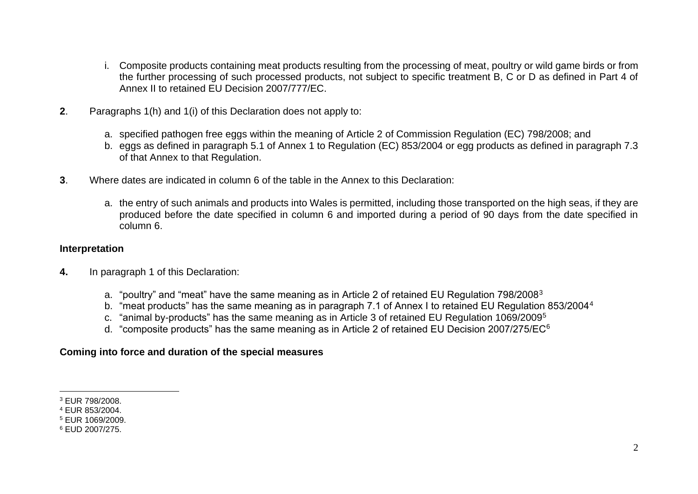- i. Composite products containing meat products resulting from the processing of meat, poultry or wild game birds or from the further processing of such processed products, not subject to specific treatment B, C or D as defined in Part 4 of Annex II to retained EU Decision 2007/777/EC.
- **2**. Paragraphs 1(h) and 1(i) of this Declaration does not apply to:
	- a. specified pathogen free eggs within the meaning of Article 2 of Commission Regulation (EC) 798/2008; and
	- b. eggs as defined in paragraph 5.1 of Annex 1 to Regulation (EC) 853/2004 or egg products as defined in paragraph 7.3 of that Annex to that Regulation.
- **3**. Where dates are indicated in column 6 of the table in the Annex to this Declaration:
	- a. the entry of such animals and products into Wales is permitted, including those transported on the high seas, if they are produced before the date specified in column 6 and imported during a period of 90 days from the date specified in column 6.

## **Interpretation**

- **4.** In paragraph 1 of this Declaration:
	- a. "poultry" and "meat" have the same meaning as in Article 2 of retained EU Regulation 798/2008<sup>3</sup>
	- b. "meat products" has the same meaning as in paragraph 7.1 of Annex I to retained EU Regulation 853/2004<sup>4</sup>
	- c. "animal by-products" has the same meaning as in Article 3 of retained EU Regulation 1069/2009<sup>5</sup>
	- d. "composite products" has the same meaning as in Article 2 of retained EU Decision 2007/275/EC<sup>6</sup>

## **Coming into force and duration of the special measures**

<sup>3</sup> EUR 798/2008.

<sup>4</sup> EUR 853/2004.

<sup>5</sup> EUR 1069/2009.

<sup>6</sup> EUD 2007/275.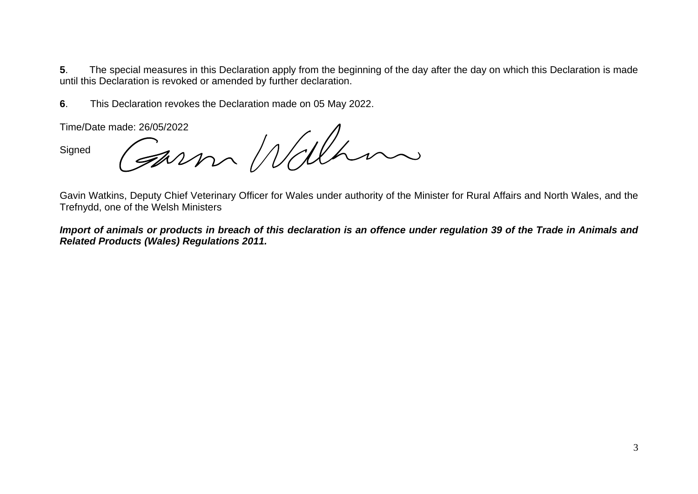**5**. The special measures in this Declaration apply from the beginning of the day after the day on which this Declaration is made until this Declaration is revoked or amended by further declaration.

**6**. This Declaration revokes the Declaration made on 05 May 2022.

**Signed** 

Time/Date made: 26/05/2022

Gavin Watkins, Deputy Chief Veterinary Officer for Wales under authority of the Minister for Rural Affairs and North Wales, and the Trefnydd, one of the Welsh Ministers

*Import of animals or products in breach of this declaration is an offence under regulation 39 of the Trade in Animals and Related Products (Wales) Regulations 2011.*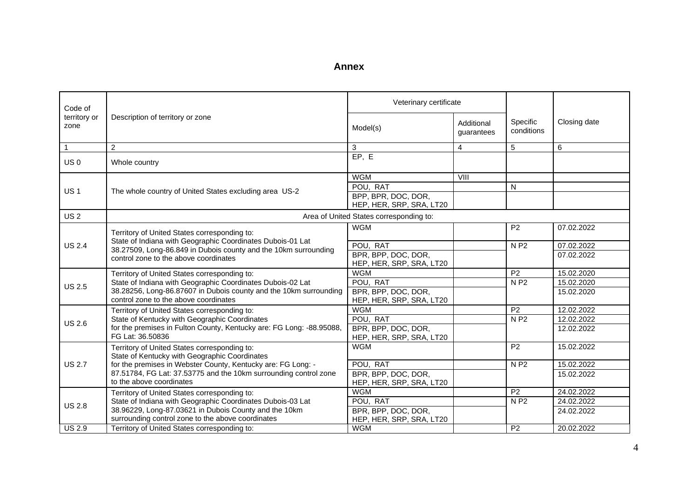| Code of              |                                                                                                                                                                          | Veterinary certificate                          |                          |                        |              |
|----------------------|--------------------------------------------------------------------------------------------------------------------------------------------------------------------------|-------------------------------------------------|--------------------------|------------------------|--------------|
| territory or<br>zone | Description of territory or zone                                                                                                                                         | Model(s)                                        | Additional<br>guarantees | Specific<br>conditions | Closing date |
| $\mathbf{1}$         | 2                                                                                                                                                                        | 3                                               | $\overline{4}$           | 5                      | 6            |
| US <sub>0</sub>      | Whole country                                                                                                                                                            | EP, E                                           |                          |                        |              |
|                      |                                                                                                                                                                          | <b>WGM</b>                                      | VIII                     |                        |              |
| <b>US1</b>           | The whole country of United States excluding area US-2                                                                                                                   | POU, RAT                                        |                          | N                      |              |
|                      |                                                                                                                                                                          | BPP, BPR, DOC, DOR,<br>HEP, HER, SRP, SRA, LT20 |                          |                        |              |
| <b>US2</b>           |                                                                                                                                                                          | Area of United States corresponding to:         |                          |                        |              |
|                      | Territory of United States corresponding to:                                                                                                                             | <b>WGM</b>                                      |                          | P <sub>2</sub>         | 07.02.2022   |
| <b>US 2.4</b>        | State of Indiana with Geographic Coordinates Dubois-01 Lat<br>38.27509, Long-86.849 in Dubois county and the 10km surrounding<br>control zone to the above coordinates   | POU, RAT                                        |                          | N P2                   | 07.02.2022   |
|                      |                                                                                                                                                                          | BPR, BPP, DOC, DOR,<br>HEP, HER, SRP, SRA, LT20 |                          |                        | 07.02.2022   |
|                      | Territory of United States corresponding to:                                                                                                                             | <b>WGM</b>                                      |                          | $\overline{P2}$        | 15.02.2020   |
| <b>US 2.5</b>        | State of Indiana with Geographic Coordinates Dubois-02 Lat<br>38.28256, Long-86.87607 in Dubois county and the 10km surrounding<br>control zone to the above coordinates | POU, RAT                                        |                          | <b>NP2</b>             | 15.02.2020   |
|                      |                                                                                                                                                                          | BPR, BPP, DOC, DOR,<br>HEP, HER, SRP, SRA, LT20 |                          |                        | 15.02.2020   |
|                      | Territory of United States corresponding to:                                                                                                                             | <b>WGM</b>                                      |                          | P <sub>2</sub>         | 12.02.2022   |
| <b>US 2.6</b>        | State of Kentucky with Geographic Coordinates                                                                                                                            | POU, RAT                                        |                          | N P2                   | 12.02.2022   |
|                      | for the premises in Fulton County, Kentucky are: FG Long: -88.95088,<br>FG Lat: 36.50836                                                                                 | BPR, BPP, DOC, DOR,<br>HEP, HER, SRP, SRA, LT20 |                          |                        | 12.02.2022   |
|                      | Territory of United States corresponding to:<br>State of Kentucky with Geographic Coordinates                                                                            | <b>WGM</b>                                      |                          | $\overline{P2}$        | 15.02.2022   |
| <b>US 2.7</b>        | for the premises in Webster County, Kentucky are: FG Long: -                                                                                                             | POU, RAT                                        |                          | N P2                   | 15.02.2022   |
|                      | 87.51784, FG Lat: 37.53775 and the 10km surrounding control zone<br>to the above coordinates                                                                             | BPR, BPP, DOC, DOR,<br>HEP, HER, SRP, SRA, LT20 |                          |                        | 15.02.2022   |
|                      | Territory of United States corresponding to:                                                                                                                             | <b>WGM</b>                                      |                          | P <sub>2</sub>         | 24.02.2022   |
| <b>US 2.8</b>        | State of Indiana with Geographic Coordinates Dubois-03 Lat                                                                                                               | POU, RAT                                        |                          | <b>NP2</b>             | 24.02.2022   |
|                      | 38.96229, Long-87.03621 in Dubois County and the 10km<br>surrounding control zone to the above coordinates                                                               | BPR, BPP, DOC, DOR,<br>HEP, HER, SRP, SRA, LT20 |                          |                        | 24.02.2022   |
| <b>US 2.9</b>        | Territory of United States corresponding to:                                                                                                                             | <b>WGM</b>                                      |                          | P <sub>2</sub>         | 20.02.2022   |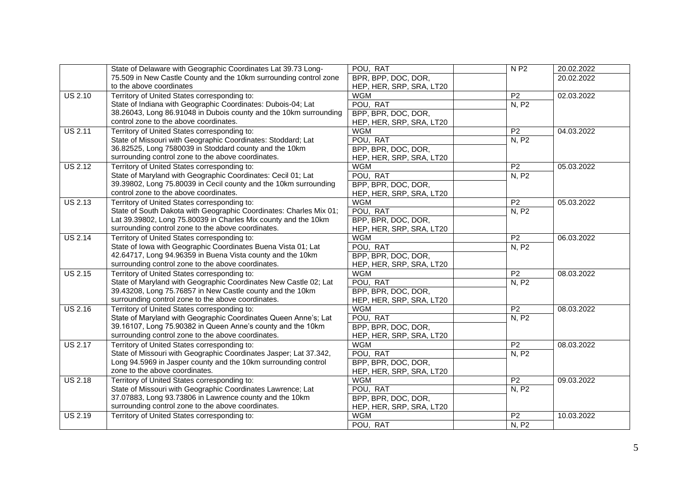|                | State of Delaware with Geographic Coordinates Lat 39.73 Long-      | POU, RAT                 | <b>NP2</b>      | 20.02.2022 |
|----------------|--------------------------------------------------------------------|--------------------------|-----------------|------------|
|                | 75.509 in New Castle County and the 10km surrounding control zone  | BPR, BPP, DOC, DOR,      |                 | 20.02.2022 |
|                | to the above coordinates                                           | HEP, HER, SRP, SRA, LT20 |                 |            |
| <b>US 2.10</b> | Territory of United States corresponding to:                       | <b>WGM</b>               | $\overline{P2}$ | 02.03.2022 |
|                | State of Indiana with Geographic Coordinates: Dubois-04; Lat       | POU, RAT                 | N, P2           |            |
|                | 38.26043, Long 86.91048 in Dubois county and the 10km surrounding  | BPP, BPR, DOC, DOR,      |                 |            |
|                | control zone to the above coordinates.                             | HEP, HER, SRP, SRA, LT20 |                 |            |
| <b>US 2.11</b> | Territory of United States corresponding to:                       | <b>WGM</b>               | P <sub>2</sub>  | 04.03.2022 |
|                | State of Missouri with Geographic Coordinates: Stoddard; Lat       | POU, RAT                 | N, P2           |            |
|                | 36.82525, Long 7580039 in Stoddard county and the 10km             | BPP, BPR, DOC, DOR,      |                 |            |
|                | surrounding control zone to the above coordinates.                 | HEP, HER, SRP, SRA, LT20 |                 |            |
| <b>US 2.12</b> | Territory of United States corresponding to:                       | <b>WGM</b>               | P <sub>2</sub>  | 05.03.2022 |
|                | State of Maryland with Geographic Coordinates: Cecil 01; Lat       | POU, RAT                 | <b>N.P2</b>     |            |
|                | 39.39802, Long 75.80039 in Cecil county and the 10km surrounding   | BPP, BPR, DOC, DOR,      |                 |            |
|                | control zone to the above coordinates.                             | HEP, HER, SRP, SRA, LT20 |                 |            |
| <b>US 2.13</b> | Territory of United States corresponding to:                       | <b>WGM</b>               | P <sub>2</sub>  | 05.03.2022 |
|                | State of South Dakota with Geographic Coordinates: Charles Mix 01; | POU, RAT                 | N, P2           |            |
|                | Lat 39.39802, Long 75.80039 in Charles Mix county and the 10km     | BPP, BPR, DOC, DOR,      |                 |            |
|                | surrounding control zone to the above coordinates.                 | HEP, HER, SRP, SRA, LT20 |                 |            |
| <b>US 2.14</b> | Territory of United States corresponding to:                       | <b>WGM</b>               | $\overline{P2}$ | 06.03.2022 |
|                | State of Iowa with Geographic Coordinates Buena Vista 01; Lat      | POU, RAT                 | N, P2           |            |
|                | 42.64717, Long 94.96359 in Buena Vista county and the 10km         | BPP, BPR, DOC, DOR,      |                 |            |
|                | surrounding control zone to the above coordinates.                 | HEP, HER, SRP, SRA, LT20 |                 |            |
| <b>US 2.15</b> | Territory of United States corresponding to:                       | <b>WGM</b>               | P <sub>2</sub>  | 08.03.2022 |
|                | State of Maryland with Geographic Coordinates New Castle 02; Lat   | POU, RAT                 | N, P2           |            |
|                | 39.43208, Long 75.76857 in New Castle county and the 10km          | BPP, BPR, DOC, DOR,      |                 |            |
|                | surrounding control zone to the above coordinates.                 | HEP, HER, SRP, SRA, LT20 |                 |            |
| <b>US 2.16</b> | Territory of United States corresponding to:                       | <b>WGM</b>               | P <sub>2</sub>  | 08.03.2022 |
|                | State of Maryland with Geographic Coordinates Queen Anne's; Lat    | POU, RAT                 | <b>N, P2</b>    |            |
|                | 39.16107, Long 75.90382 in Queen Anne's county and the 10km        | BPP, BPR, DOC, DOR,      |                 |            |
|                | surrounding control zone to the above coordinates.                 | HEP, HER, SRP, SRA, LT20 |                 |            |
| <b>US 2.17</b> | Territory of United States corresponding to:                       | <b>WGM</b>               | P <sub>2</sub>  | 08.03.2022 |
|                | State of Missouri with Geographic Coordinates Jasper; Lat 37.342,  | POU, RAT                 | N, P2           |            |
|                | Long 94.5969 in Jasper county and the 10km surrounding control     | BPP, BPR, DOC, DOR,      |                 |            |
|                | zone to the above coordinates.                                     | HEP, HER, SRP, SRA, LT20 |                 |            |
| <b>US 2.18</b> | Territory of United States corresponding to:                       | <b>WGM</b>               | P2              | 09.03.2022 |
|                | State of Missouri with Geographic Coordinates Lawrence; Lat        | POU, RAT                 | N, P2           |            |
|                | 37.07883, Long 93.73806 in Lawrence county and the 10km            | BPP, BPR, DOC, DOR,      |                 |            |
|                | surrounding control zone to the above coordinates.                 | HEP, HER, SRP, SRA, LT20 |                 |            |
| <b>US 2.19</b> | Territory of United States corresponding to:                       | <b>WGM</b>               | $\overline{P2}$ | 10.03.2022 |
|                |                                                                    | POU, RAT                 | N, P2           |            |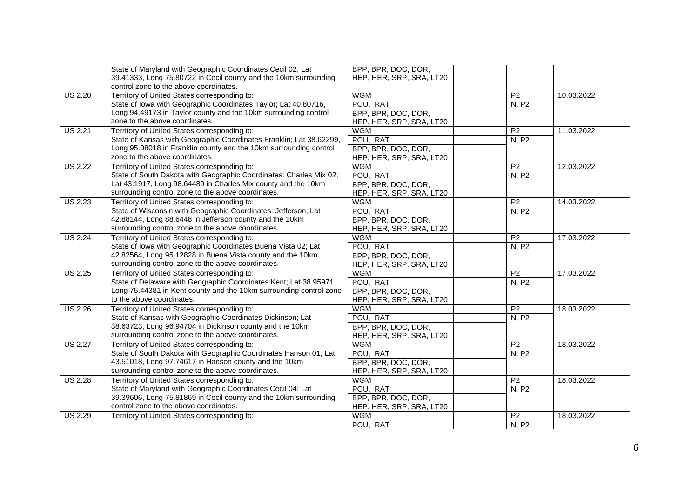|                | State of Maryland with Geographic Coordinates Cecil 02; Lat         | BPP, BPR, DOC, DOR,      |                 |            |
|----------------|---------------------------------------------------------------------|--------------------------|-----------------|------------|
|                | 39.41333, Long 75.80722 in Cecil county and the 10km surrounding    | HEP, HER, SRP, SRA, LT20 |                 |            |
|                | control zone to the above coordinates.                              |                          |                 |            |
| <b>US 2.20</b> | Territory of United States corresponding to:                        | <b>WGM</b>               | P <sub>2</sub>  | 10.03.2022 |
|                | State of Iowa with Geographic Coordinates Taylor; Lat 40.80716,     | POU, RAT                 | N, P2           |            |
|                | Long 94.49173 in Taylor county and the 10km surrounding control     | BPP, BPR, DOC, DOR,      |                 |            |
|                | zone to the above coordinates.                                      | HEP, HER, SRP, SRA, LT20 |                 |            |
| <b>US 2.21</b> | Territory of United States corresponding to:                        | <b>WGM</b>               | P <sub>2</sub>  | 11.03.2022 |
|                | State of Kansas with Geographic Coordinates Franklin; Lat 38.62299, | POU, RAT                 | N, P2           |            |
|                | Long 95.08018 in Franklin county and the 10km surrounding control   | BPP, BPR, DOC, DOR,      |                 |            |
|                | zone to the above coordinates.                                      | HEP, HER, SRP, SRA, LT20 |                 |            |
| <b>US 2.22</b> | Territory of United States corresponding to:                        | <b>WGM</b>               | P <sub>2</sub>  | 12.03.2022 |
|                | State of South Dakota with Geographic Coordinates: Charles Mix 02;  | POU, RAT                 | N, P2           |            |
|                | Lat 43.1917, Long 98.64489 in Charles Mix county and the 10km       | BPP, BPR, DOC, DOR,      |                 |            |
|                | surrounding control zone to the above coordinates.                  | HEP, HER, SRP, SRA, LT20 |                 |            |
| <b>US 2.23</b> | Territory of United States corresponding to:                        | <b>WGM</b>               | P <sub>2</sub>  | 14.03.2022 |
|                | State of Wisconsin with Geographic Coordinates: Jefferson; Lat      | POU, RAT                 | N, P2           |            |
|                | 42.88144, Long 88.6448 in Jefferson county and the 10km             | BPP, BPR, DOC, DOR,      |                 |            |
|                | surrounding control zone to the above coordinates.                  | HEP, HER, SRP, SRA, LT20 |                 |            |
| <b>US 2.24</b> | Territory of United States corresponding to:                        | <b>WGM</b>               | $\overline{P2}$ | 17.03.2022 |
|                | State of Iowa with Geographic Coordinates Buena Vista 02; Lat       | POU, RAT                 | N, P2           |            |
|                | 42.82564, Long 95.12828 in Buena Vista county and the 10km          | BPP, BPR, DOC, DOR,      |                 |            |
|                | surrounding control zone to the above coordinates.                  | HEP, HER, SRP, SRA, LT20 |                 |            |
| <b>US 2.25</b> | Territory of United States corresponding to:                        | <b>WGM</b>               | P <sub>2</sub>  | 17.03.2022 |
|                | State of Delaware with Geographic Coordinates Kent; Lat 38.95971,   | POU, RAT                 | N, P2           |            |
|                | Long 75.44381 in Kent county and the 10km surrounding control zone  | BPP, BPR, DOC, DOR,      |                 |            |
|                | to the above coordinates.                                           | HEP, HER, SRP, SRA, LT20 |                 |            |
| <b>US 2.26</b> | Territory of United States corresponding to:                        | <b>WGM</b>               | P <sub>2</sub>  | 18.03.2022 |
|                | State of Kansas with Geographic Coordinates Dickinson; Lat          | POU, RAT                 | N, P2           |            |
|                | 38.63723, Long 96.94704 in Dickinson county and the 10km            | BPP, BPR, DOC, DOR,      |                 |            |
|                | surrounding control zone to the above coordinates.                  | HEP, HER, SRP, SRA, LT20 |                 |            |
| <b>US 2.27</b> | Territory of United States corresponding to:                        | <b>WGM</b>               | P <sub>2</sub>  | 18.03.2022 |
|                | State of South Dakota with Geographic Coordinates Hanson 01; Lat    | POU, RAT                 | N, P2           |            |
|                | 43.51018, Long 97.74617 in Hanson county and the 10km               | BPP, BPR, DOC, DOR,      |                 |            |
|                | surrounding control zone to the above coordinates.                  | HEP, HER, SRP, SRA, LT20 |                 |            |
| <b>US 2.28</b> | Territory of United States corresponding to:                        | <b>WGM</b>               | P <sub>2</sub>  | 18.03.2022 |
|                | State of Maryland with Geographic Coordinates Cecil 04; Lat         | POU, RAT                 | N, P2           |            |
|                | 39.39606, Long 75.81869 in Cecil county and the 10km surrounding    | BPP, BPR, DOC, DOR,      |                 |            |
|                | control zone to the above coordinates.                              | HEP, HER, SRP, SRA, LT20 |                 |            |
| <b>US 2.29</b> | Territory of United States corresponding to:                        | <b>WGM</b>               | $\overline{P2}$ | 18.03.2022 |
|                |                                                                     | POU, RAT                 | N, P2           |            |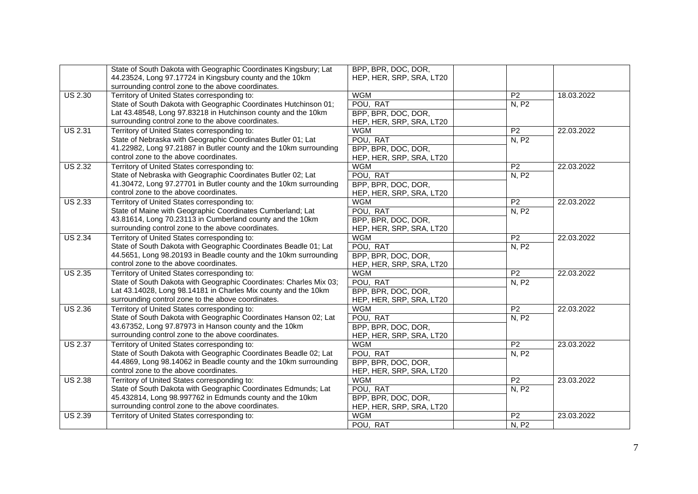|                | State of South Dakota with Geographic Coordinates Kingsbury; Lat   | BPP, BPR, DOC, DOR,      |                 |            |
|----------------|--------------------------------------------------------------------|--------------------------|-----------------|------------|
|                | 44.23524, Long 97.17724 in Kingsbury county and the 10km           | HEP, HER, SRP, SRA, LT20 |                 |            |
|                | surrounding control zone to the above coordinates.                 |                          |                 |            |
| <b>US 2.30</b> | Territory of United States corresponding to:                       | <b>WGM</b>               | P <sub>2</sub>  | 18.03.2022 |
|                | State of South Dakota with Geographic Coordinates Hutchinson 01;   | POU, RAT                 | N, P2           |            |
|                | Lat 43.48548, Long 97.83218 in Hutchinson county and the 10km      | BPP, BPR, DOC, DOR,      |                 |            |
|                | surrounding control zone to the above coordinates.                 | HEP, HER, SRP, SRA, LT20 |                 |            |
| <b>US 2.31</b> | Territory of United States corresponding to:                       | <b>WGM</b>               | P <sub>2</sub>  | 22.03.2022 |
|                | State of Nebraska with Geographic Coordinates Butler 01; Lat       | POU, RAT                 | N, P2           |            |
|                | 41.22982, Long 97.21887 in Butler county and the 10km surrounding  | BPP, BPR, DOC, DOR,      |                 |            |
|                | control zone to the above coordinates.                             | HEP, HER, SRP, SRA, LT20 |                 |            |
| <b>US 2.32</b> | Territory of United States corresponding to:                       | <b>WGM</b>               | P <sub>2</sub>  | 22.03.2022 |
|                | State of Nebraska with Geographic Coordinates Butler 02; Lat       | POU, RAT                 | N, P2           |            |
|                | 41.30472, Long 97.27701 in Butler county and the 10km surrounding  | BPP, BPR, DOC, DOR,      |                 |            |
|                | control zone to the above coordinates.                             | HEP, HER, SRP, SRA, LT20 |                 |            |
| <b>US 2.33</b> | Territory of United States corresponding to:                       | <b>WGM</b>               | P <sub>2</sub>  | 22.03.2022 |
|                | State of Maine with Geographic Coordinates Cumberland; Lat         | POU, RAT                 | N, P2           |            |
|                | 43.81614, Long 70.23113 in Cumberland county and the 10km          | BPP, BPR, DOC, DOR,      |                 |            |
|                | surrounding control zone to the above coordinates.                 | HEP, HER, SRP, SRA, LT20 |                 |            |
| <b>US 2.34</b> | Territory of United States corresponding to:                       | <b>WGM</b>               | P <sub>2</sub>  | 22.03.2022 |
|                | State of South Dakota with Geographic Coordinates Beadle 01; Lat   | POU, RAT                 | N, P2           |            |
|                | 44.5651, Long 98.20193 in Beadle county and the 10km surrounding   | BPP, BPR, DOC, DOR,      |                 |            |
|                | control zone to the above coordinates.                             | HEP, HER, SRP, SRA, LT20 |                 |            |
| <b>US 2.35</b> | Territory of United States corresponding to:                       | <b>WGM</b>               | P <sub>2</sub>  | 22.03.2022 |
|                | State of South Dakota with Geographic Coordinates: Charles Mix 03; | POU, RAT                 | N, P2           |            |
|                | Lat 43.14028, Long 98.14181 in Charles Mix county and the 10km     | BPP, BPR, DOC, DOR,      |                 |            |
|                | surrounding control zone to the above coordinates.                 | HEP, HER, SRP, SRA, LT20 |                 |            |
| <b>US 2.36</b> | Territory of United States corresponding to:                       | <b>WGM</b>               | P <sub>2</sub>  | 22.03.2022 |
|                | State of South Dakota with Geographic Coordinates Hanson 02; Lat   | POU, RAT                 | N, P2           |            |
|                | 43.67352, Long 97.87973 in Hanson county and the 10km              | BPP, BPR, DOC, DOR,      |                 |            |
|                | surrounding control zone to the above coordinates.                 | HEP, HER, SRP, SRA, LT20 |                 |            |
| <b>US 2.37</b> | Territory of United States corresponding to:                       | <b>WGM</b>               | P <sub>2</sub>  | 23.03.2022 |
|                | State of South Dakota with Geographic Coordinates Beadle 02; Lat   | POU, RAT                 | <b>N, P2</b>    |            |
|                | 44.4869, Long 98.14062 in Beadle county and the 10km surrounding   | BPP, BPR, DOC, DOR,      |                 |            |
|                | control zone to the above coordinates.                             | HEP, HER, SRP, SRA, LT20 |                 |            |
| <b>US 2.38</b> | Territory of United States corresponding to:                       | <b>WGM</b>               | P2              | 23.03.2022 |
|                | State of South Dakota with Geographic Coordinates Edmunds; Lat     | POU, RAT                 | N, P2           |            |
|                | 45.432814, Long 98.997762 in Edmunds county and the 10km           | BPP, BPR, DOC, DOR,      |                 |            |
|                | surrounding control zone to the above coordinates.                 | HEP, HER, SRP, SRA, LT20 |                 |            |
| <b>US 2.39</b> | Territory of United States corresponding to:                       | <b>WGM</b>               | $\overline{P2}$ | 23.03.2022 |
|                |                                                                    | POU, RAT                 | N, P2           |            |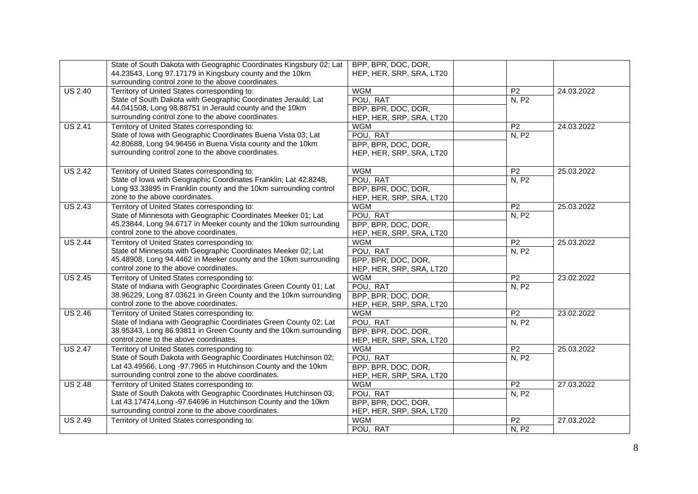|                | State of South Dakota with Geographic Coordinates Kingsbury 02; Lat                                            | BPP, BPR, DOC, DOR,      |                 |            |
|----------------|----------------------------------------------------------------------------------------------------------------|--------------------------|-----------------|------------|
|                | 44.23543, Long 97.17179 in Kingsbury county and the 10km                                                       | HEP, HER, SRP, SRA, LT20 |                 |            |
|                | surrounding control zone to the above coordinates.                                                             |                          |                 |            |
| <b>US 2.40</b> | Territory of United States corresponding to:<br>State of South Dakota with Geographic Coordinates Jerauld; Lat | <b>WGM</b>               | P <sub>2</sub>  | 24.03.2022 |
|                |                                                                                                                | POU, RAT                 | N, P2           |            |
|                | 44.041508, Long 98.88751 in Jerauld county and the 10km                                                        | BPP, BPR, DOC, DOR,      |                 |            |
|                | surrounding control zone to the above coordinates.                                                             | HEP, HER, SRP, SRA, LT20 |                 |            |
| <b>US 2.41</b> | Territory of United States corresponding to:                                                                   | <b>WGM</b>               | P <sub>2</sub>  | 24.03.2022 |
|                | State of Iowa with Geographic Coordinates Buena Vista 03; Lat                                                  | POU, RAT                 | N, P2           |            |
|                | 42.80688, Long 94.96456 in Buena Vista county and the 10km                                                     | BPP, BPR, DOC, DOR,      |                 |            |
|                | surrounding control zone to the above coordinates.                                                             | HEP, HER, SRP, SRA, LT20 |                 |            |
| <b>US 2.42</b> | Territory of United States corresponding to:                                                                   | <b>WGM</b>               | <b>P2</b>       | 25.03.2022 |
|                | State of Iowa with Geographic Coordinates Franklin; Lat 42.8248,                                               | POU, RAT                 | N, P2           |            |
|                | Long 93.33895 in Franklin county and the 10km surrounding control                                              | BPP, BPR, DOC, DOR,      |                 |            |
|                | zone to the above coordinates.                                                                                 | HEP, HER, SRP, SRA, LT20 |                 |            |
| <b>US 2.43</b> | Territory of United States corresponding to:                                                                   | <b>WGM</b>               | $\overline{P2}$ | 25.03.2022 |
|                | State of Minnesota with Geographic Coordinates Meeker 01; Lat                                                  | POU, RAT                 | N, P2           |            |
|                | 45.23844, Long 94.6717 in Meeker county and the 10km surrounding                                               | BPP, BPR, DOC, DOR,      |                 |            |
|                | control zone to the above coordinates.                                                                         | HEP, HER, SRP, SRA, LT20 |                 |            |
| <b>US 2.44</b> | Territory of United States corresponding to:                                                                   | <b>WGM</b>               | P <sub>2</sub>  | 25.03.2022 |
|                | State of Minnesota with Geographic Coordinates Meeker 02; Lat                                                  | POU, RAT                 | N, P2           |            |
|                | 45.48908, Long 94.4462 in Meeker county and the 10km surrounding                                               | BPP, BPR, DOC, DOR,      |                 |            |
|                | control zone to the above coordinates.                                                                         | HEP, HER, SRP, SRA, LT20 |                 |            |
| <b>US 2.45</b> | Territory of United States corresponding to:                                                                   | <b>WGM</b>               | P <sub>2</sub>  | 23.02.2022 |
|                | State of Indiana with Geographic Coordinates Green County 01; Lat                                              | POU, RAT                 | N, P2           |            |
|                | 38.96229, Long 87.03621 in Green County and the 10km surrounding                                               | BPP, BPR, DOC, DOR,      |                 |            |
|                | control zone to the above coordinates.                                                                         | HEP, HER, SRP, SRA, LT20 |                 |            |
| <b>US 2.46</b> | Territory of United States corresponding to:                                                                   | <b>WGM</b>               | P <sub>2</sub>  | 23.02.2022 |
|                | State of Indiana with Geographic Coordinates Green County 02; Lat                                              | POU, RAT                 | N, P2           |            |
|                | 38.95343, Long 86.93811 in Green County and the 10km surrounding                                               | BPP, BPR, DOC, DOR,      |                 |            |
|                | control zone to the above coordinates.                                                                         | HEP, HER, SRP, SRA, LT20 |                 |            |
| <b>US 2.47</b> | Territory of United States corresponding to:                                                                   | <b>WGM</b>               | P <sub>2</sub>  | 25.03.2022 |
|                | State of South Dakota with Geographic Coordinates Hutchinson 02;                                               | POU, RAT                 | N, P2           |            |
|                | Lat 43.49566, Long -97.7965 in Hutchinson County and the 10km                                                  | BPP, BPR, DOC, DOR,      |                 |            |
|                | surrounding control zone to the above coordinates.                                                             | HEP, HER, SRP, SRA, LT20 |                 |            |
| <b>US 2.48</b> | Territory of United States corresponding to:                                                                   | <b>WGM</b>               | P <sub>2</sub>  | 27.03.2022 |
|                | State of South Dakota with Geographic Coordinates Hutchinson 03;                                               | POU, RAT                 | N, P2           |            |
|                | Lat 43.17474, Long -97.64696 in Hutchinson County and the 10km                                                 | BPP, BPR, DOC, DOR,      |                 |            |
|                | surrounding control zone to the above coordinates.                                                             | HEP, HER, SRP, SRA, LT20 |                 |            |
| <b>US 2.49</b> | Territory of United States corresponding to:                                                                   | <b>WGM</b>               | P <sub>2</sub>  | 27.03.2022 |
|                |                                                                                                                | POU, RAT                 | N, P2           |            |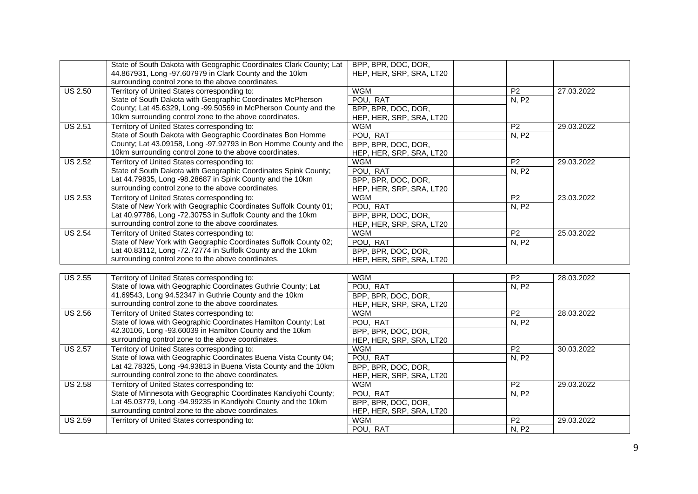|                | State of South Dakota with Geographic Coordinates Clark County; Lat | BPP, BPR, DOC, DOR,      |                 |            |
|----------------|---------------------------------------------------------------------|--------------------------|-----------------|------------|
|                | 44.867931, Long -97.607979 in Clark County and the 10km             | HEP, HER, SRP, SRA, LT20 |                 |            |
|                | surrounding control zone to the above coordinates.                  |                          |                 |            |
| <b>US 2.50</b> | Territory of United States corresponding to:                        | <b>WGM</b>               | $\overline{P2}$ | 27.03.2022 |
|                | State of South Dakota with Geographic Coordinates McPherson         | POU, RAT                 | N, P2           |            |
|                | County; Lat 45.6329, Long -99.50569 in McPherson County and the     | BPP, BPR, DOC, DOR,      |                 |            |
|                | 10km surrounding control zone to the above coordinates.             | HEP, HER, SRP, SRA, LT20 |                 |            |
| <b>US 2.51</b> | Territory of United States corresponding to:                        | <b>WGM</b>               | P <sub>2</sub>  | 29.03.2022 |
|                | State of South Dakota with Geographic Coordinates Bon Homme         | POU, RAT                 | N, P2           |            |
|                | County; Lat 43.09158, Long -97.92793 in Bon Homme County and the    | BPP, BPR, DOC, DOR,      |                 |            |
|                | 10km surrounding control zone to the above coordinates.             | HEP, HER, SRP, SRA, LT20 |                 |            |
| <b>US 2.52</b> | Territory of United States corresponding to:                        | <b>WGM</b>               | P <sub>2</sub>  | 29.03.2022 |
|                | State of South Dakota with Geographic Coordinates Spink County;     | POU, RAT                 | N, P2           |            |
|                | Lat 44.79835, Long -98.28687 in Spink County and the 10km           | BPP, BPR, DOC, DOR,      |                 |            |
|                | surrounding control zone to the above coordinates.                  | HEP, HER, SRP, SRA, LT20 |                 |            |
| <b>US 2.53</b> | Territory of United States corresponding to:                        | <b>WGM</b>               | P <sub>2</sub>  | 23.03.2022 |
|                | State of New York with Geographic Coordinates Suffolk County 01;    | POU, RAT                 | N, P2           |            |
|                | Lat 40.97786, Long -72.30753 in Suffolk County and the 10km         | BPP, BPR, DOC, DOR,      |                 |            |
|                | surrounding control zone to the above coordinates.                  | HEP, HER, SRP, SRA, LT20 |                 |            |
| <b>US 2.54</b> | Territory of United States corresponding to:                        | <b>WGM</b>               | P <sub>2</sub>  | 25.03.2022 |
|                | State of New York with Geographic Coordinates Suffolk County 02;    | POU, RAT                 | N, P2           |            |
|                | Lat 40.83112, Long -72.72774 in Suffolk County and the 10km         | BPP, BPR, DOC, DOR,      |                 |            |
|                | surrounding control zone to the above coordinates.                  | HEP, HER, SRP, SRA, LT20 |                 |            |
|                |                                                                     |                          |                 |            |
| <b>US 2.55</b> | Territory of United States corresponding to:                        | <b>WGM</b>               | $\overline{P2}$ | 28.03.2022 |
|                | State of Iowa with Geographic Coordinates Guthrie County; Lat       | POU, RAT                 | N, P2           |            |
|                | 41.69543, Long 94.52347 in Guthrie County and the 10km              | BPP, BPR, DOC, DOR,      |                 |            |
|                | surrounding control zone to the above coordinates.                  | HEP, HER, SRP, SRA, LT20 |                 |            |
| <b>US 2.56</b> | Territory of United States corresponding to:                        | <b>WGM</b>               | $\overline{P2}$ | 28.03.2022 |
|                | State of Iowa with Geographic Coordinates Hamilton County; Lat      | POU, RAT                 | N, P2           |            |
|                | 42.30106, Long -93.60039 in Hamilton County and the 10km            | BPP, BPR, DOC, DOR,      |                 |            |
|                | surrounding control zone to the above coordinates.                  | HEP, HER, SRP, SRA, LT20 |                 |            |
| <b>US 2.57</b> | Territory of United States corresponding to:                        | <b>WGM</b>               | P <sub>2</sub>  | 30.03.2022 |
|                | State of Iowa with Geographic Coordinates Buena Vista County 04;    | POU, RAT                 | N, P2           |            |
|                | Lat 42.78325, Long -94.93813 in Buena Vista County and the 10km     | BPP, BPR, DOC, DOR,      |                 |            |
|                | surrounding control zone to the above coordinates.                  | HEP, HER, SRP, SRA, LT20 |                 |            |
| <b>US 2.58</b> | Territory of United States corresponding to:                        | <b>WGM</b>               | P <sub>2</sub>  | 29.03.2022 |
|                | State of Minnesota with Geographic Coordinates Kandiyohi County;    | POU, RAT                 | N, P2           |            |
|                | Lat 45.03779, Long -94.99235 in Kandiyohi County and the 10km       | BPP, BPR, DOC, DOR,      |                 |            |
|                | surrounding control zone to the above coordinates.                  | HEP, HER, SRP, SRA, LT20 |                 |            |
| <b>US 2.59</b> | Territory of United States corresponding to:                        | <b>WGM</b>               | P <sub>2</sub>  | 29.03.2022 |
|                |                                                                     | POU, RAT                 | N, P2           |            |
|                |                                                                     |                          |                 |            |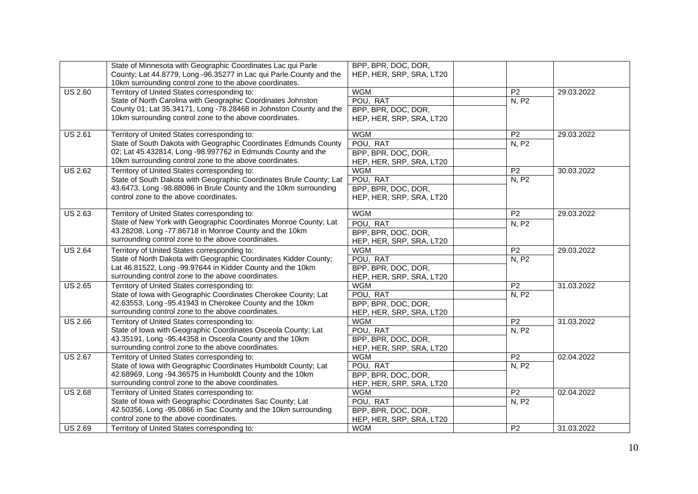|                | State of Minnesota with Geographic Coordinates Lac qui Parle        | BPP, BPR, DOC, DOR,      |                 |            |
|----------------|---------------------------------------------------------------------|--------------------------|-----------------|------------|
|                | County; Lat 44.8779, Long -96.35277 in Lac qui Parle County and the | HEP, HER, SRP, SRA, LT20 |                 |            |
|                | 10km surrounding control zone to the above coordinates.             |                          |                 |            |
| <b>US 2.60</b> | Territory of United States corresponding to:                        | <b>WGM</b>               | P <sub>2</sub>  | 29.03.2022 |
|                | State of North Carolina with Geographic Coordinates Johnston        | POU, RAT                 | N, P2           |            |
|                | County 01; Lat 35.34171, Long -78.28468 in Johnston County and the  | BPP, BPR, DOC, DOR,      |                 |            |
|                | 10km surrounding control zone to the above coordinates.             | HEP, HER, SRP, SRA, LT20 |                 |            |
|                |                                                                     |                          |                 |            |
| <b>US 2.61</b> | Territory of United States corresponding to:                        | <b>WGM</b>               | P <sub>2</sub>  | 29.03.2022 |
|                | State of South Dakota with Geographic Coordinates Edmunds County    | POU, RAT                 | N, P2           |            |
|                | 02; Lat 45.432814, Long -98.997762 in Edmunds County and the        | BPP, BPR, DOC, DOR,      |                 |            |
|                | 10km surrounding control zone to the above coordinates.             | HEP, HER, SRP, SRA, LT20 |                 |            |
| <b>US 2.62</b> | Territory of United States corresponding to:                        | <b>WGM</b>               | $\overline{P2}$ | 30.03.2022 |
|                | State of South Dakota with Geographic Coordinates Brule County; Lat | POU, RAT                 | N, P2           |            |
|                | 43.6473, Long -98.88086 in Brule County and the 10km surrounding    |                          |                 |            |
|                |                                                                     | BPP, BPR, DOC, DOR,      |                 |            |
|                | control zone to the above coordinates.                              | HEP, HER, SRP, SRA, LT20 |                 |            |
| <b>US 2.63</b> | Territory of United States corresponding to:                        | <b>WGM</b>               | $\overline{P2}$ | 29.03.2022 |
|                | State of New York with Geographic Coordinates Monroe County; Lat    |                          |                 |            |
|                | 43.28208, Long -77.86718 in Monroe County and the 10km              | POU, RAT                 | N, P2           |            |
|                | surrounding control zone to the above coordinates.                  | BPP, BPR, DOC, DOR,      |                 |            |
|                |                                                                     | HEP, HER, SRP, SRA, LT20 |                 |            |
| <b>US 2.64</b> | Territory of United States corresponding to:                        | <b>WGM</b>               | P <sub>2</sub>  | 29.03.2022 |
|                | State of North Dakota with Geographic Coordinates Kidder County;    | POU, RAT                 | N, P2           |            |
|                | Lat 46.81522, Long -99.97644 in Kidder County and the 10km          | BPP, BPR, DOC, DOR,      |                 |            |
|                | surrounding control zone to the above coordinates.                  | HEP, HER, SRP, SRA, LT20 |                 |            |
| <b>US 2.65</b> | Territory of United States corresponding to:                        | <b>WGM</b>               | P <sub>2</sub>  | 31.03.2022 |
|                | State of Iowa with Geographic Coordinates Cherokee County; Lat      | POU, RAT                 | N, P2           |            |
|                | 42.63553, Long -95.41943 in Cherokee County and the 10km            | BPP, BPR, DOC, DOR,      |                 |            |
|                | surrounding control zone to the above coordinates.                  | HEP, HER, SRP, SRA, LT20 |                 |            |
| <b>US 2.66</b> | Territory of United States corresponding to:                        | <b>WGM</b>               | P <sub>2</sub>  | 31.03.2022 |
|                | State of Iowa with Geographic Coordinates Osceola County; Lat       | POU, RAT                 | N, P2           |            |
|                | 43.35191, Long -95.44358 in Osceola County and the 10km             | BPP, BPR, DOC, DOR,      |                 |            |
|                | surrounding control zone to the above coordinates.                  | HEP, HER, SRP, SRA, LT20 |                 |            |
| <b>US 2.67</b> | Territory of United States corresponding to:                        | <b>WGM</b>               | P <sub>2</sub>  | 02.04.2022 |
|                | State of Iowa with Geographic Coordinates Humboldt County; Lat      | POU, RAT                 | N, P2           |            |
|                | 42.68969, Long -94.36575 in Humboldt County and the 10km            | BPP, BPR, DOC, DOR,      |                 |            |
|                | surrounding control zone to the above coordinates.                  | HEP, HER, SRP, SRA, LT20 |                 |            |
|                |                                                                     |                          | P <sub>2</sub>  |            |
| <b>US 2.68</b> | Territory of United States corresponding to:                        | <b>WGM</b>               |                 | 02.04.2022 |
|                | State of Iowa with Geographic Coordinates Sac County; Lat           | POU, RAT                 | N, P2           |            |
|                | 42.50356, Long -95.0866 in Sac County and the 10km surrounding      | BPP, BPR, DOC, DOR,      |                 |            |
|                | control zone to the above coordinates.                              | HEP, HER, SRP, SRA, LT20 |                 |            |
| <b>US 2.69</b> | Territory of United States corresponding to:                        | <b>WGM</b>               | P <sub>2</sub>  | 31.03.2022 |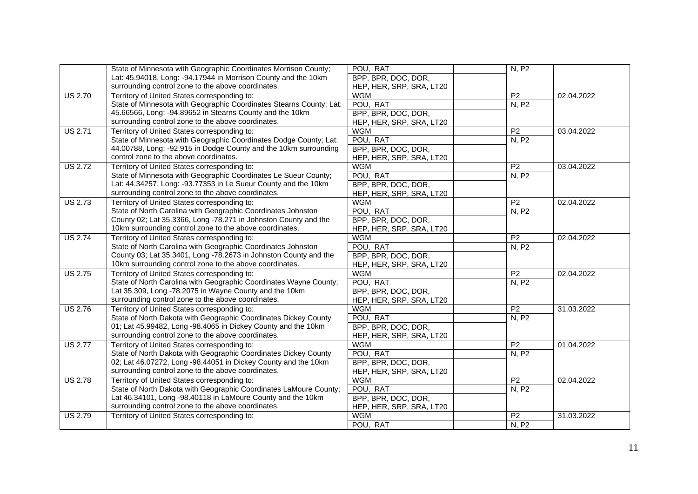|                | State of Minnesota with Geographic Coordinates Morrison County;     | POU, RAT                 | N, P2           |            |
|----------------|---------------------------------------------------------------------|--------------------------|-----------------|------------|
|                | Lat: 45.94018, Long: -94.17944 in Morrison County and the 10km      | BPP, BPR, DOC, DOR,      |                 |            |
|                | surrounding control zone to the above coordinates.                  | HEP, HER, SRP, SRA, LT20 |                 |            |
| <b>US 2.70</b> | Territory of United States corresponding to:                        | <b>WGM</b>               | P <sub>2</sub>  | 02.04.2022 |
|                | State of Minnesota with Geographic Coordinates Stearns County; Lat: | POU, RAT                 | N, P2           |            |
|                | 45.66566, Long: -94.89652 in Stearns County and the 10km            | BPP, BPR, DOC, DOR,      |                 |            |
|                | surrounding control zone to the above coordinates.                  | HEP, HER, SRP, SRA, LT20 |                 |            |
| <b>US 2.71</b> | Territory of United States corresponding to:                        | <b>WGM</b>               | P <sub>2</sub>  | 03.04.2022 |
|                | State of Minnesota with Geographic Coordinates Dodge County; Lat:   | POU, RAT                 | N, P2           |            |
|                | 44.00788, Long: -92.915 in Dodge County and the 10km surrounding    | BPP, BPR, DOC, DOR,      |                 |            |
|                | control zone to the above coordinates.                              | HEP, HER, SRP, SRA, LT20 |                 |            |
| <b>US 2.72</b> | Territory of United States corresponding to:                        | <b>WGM</b>               | P <sub>2</sub>  | 03.04.2022 |
|                | State of Minnesota with Geographic Coordinates Le Sueur County;     | POU, RAT                 | N, P2           |            |
|                | Lat: 44.34257, Long: -93.77353 in Le Sueur County and the 10km      | BPP, BPR, DOC, DOR,      |                 |            |
|                | surrounding control zone to the above coordinates.                  | HEP, HER, SRP, SRA, LT20 |                 |            |
| <b>US 2.73</b> | Territory of United States corresponding to:                        | <b>WGM</b>               | P <sub>2</sub>  | 02.04.2022 |
|                | State of North Carolina with Geographic Coordinates Johnston        | POU, RAT                 | N, P2           |            |
|                | County 02; Lat 35.3366, Long -78.271 in Johnston County and the     | BPP, BPR, DOC, DOR,      |                 |            |
|                | 10km surrounding control zone to the above coordinates.             | HEP, HER, SRP, SRA, LT20 |                 |            |
| <b>US 2.74</b> | Territory of United States corresponding to:                        | <b>WGM</b>               | P <sub>2</sub>  | 02.04.2022 |
|                | State of North Carolina with Geographic Coordinates Johnston        | POU, RAT                 | N, P2           |            |
|                | County 03; Lat 35.3401, Long -78.2673 in Johnston County and the    | BPP, BPR, DOC, DOR,      |                 |            |
|                | 10km surrounding control zone to the above coordinates.             | HEP, HER, SRP, SRA, LT20 |                 |            |
| <b>US 2.75</b> | Territory of United States corresponding to:                        | <b>WGM</b>               | P <sub>2</sub>  | 02.04.2022 |
|                | State of North Carolina with Geographic Coordinates Wayne County;   | POU, RAT                 | N, P2           |            |
|                | Lat 35.309, Long -78.2075 in Wayne County and the 10km              | BPP, BPR, DOC, DOR,      |                 |            |
|                | surrounding control zone to the above coordinates.                  | HEP, HER, SRP, SRA, LT20 |                 |            |
| <b>US 2.76</b> | Territory of United States corresponding to:                        | <b>WGM</b>               | P <sub>2</sub>  | 31.03.2022 |
|                | State of North Dakota with Geographic Coordinates Dickey County     | POU, RAT                 | <b>N, P2</b>    |            |
|                | 01; Lat 45.99482, Long -98.4065 in Dickey County and the 10km       | BPP, BPR, DOC, DOR,      |                 |            |
|                | surrounding control zone to the above coordinates.                  | HEP, HER, SRP, SRA, LT20 |                 |            |
| <b>US 2.77</b> | Territory of United States corresponding to:                        | <b>WGM</b>               | P <sub>2</sub>  | 01.04.2022 |
|                | State of North Dakota with Geographic Coordinates Dickey County     | POU, RAT                 | N, P2           |            |
|                | 02; Lat 46.07272, Long -98.44051 in Dickey County and the 10km      | BPP, BPR, DOC, DOR,      |                 |            |
|                | surrounding control zone to the above coordinates.                  | HEP, HER, SRP, SRA, LT20 |                 |            |
| <b>US 2.78</b> | Territory of United States corresponding to:                        | <b>WGM</b>               | P2              | 02.04.2022 |
|                | State of North Dakota with Geographic Coordinates LaMoure County;   | POU, RAT                 | N, P2           |            |
|                | Lat 46.34101, Long -98.40118 in LaMoure County and the 10km         | BPP, BPR, DOC, DOR,      |                 |            |
|                | surrounding control zone to the above coordinates.                  | HEP, HER, SRP, SRA, LT20 |                 |            |
| <b>US 2.79</b> | Territory of United States corresponding to:                        | <b>WGM</b>               | $\overline{P2}$ | 31.03.2022 |
|                |                                                                     | POU, RAT                 | N, P2           |            |
|                |                                                                     |                          |                 |            |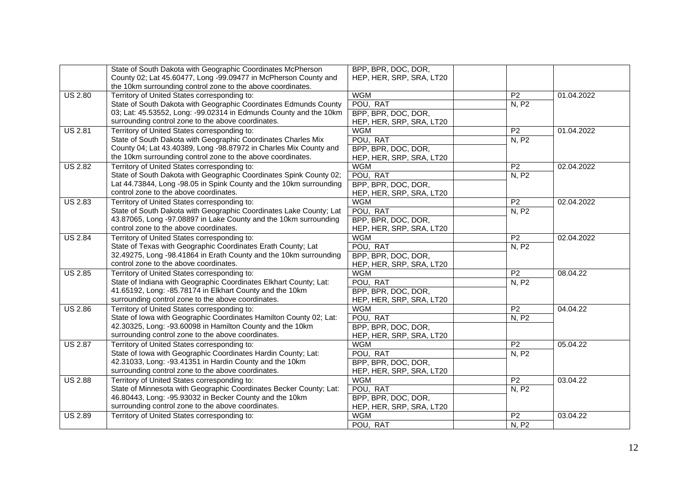|                | State of South Dakota with Geographic Coordinates McPherson        | BPP, BPR, DOC, DOR,      |                 |            |
|----------------|--------------------------------------------------------------------|--------------------------|-----------------|------------|
|                | County 02; Lat 45.60477, Long -99.09477 in McPherson County and    | HEP, HER, SRP, SRA, LT20 |                 |            |
|                | the 10km surrounding control zone to the above coordinates.        |                          |                 |            |
| <b>US 2.80</b> | Territory of United States corresponding to:                       | <b>WGM</b>               | P <sub>2</sub>  | 01.04.2022 |
|                | State of South Dakota with Geographic Coordinates Edmunds County   | POU, RAT                 | N, P2           |            |
|                | 03; Lat: 45.53552, Long: -99.02314 in Edmunds County and the 10km  | BPP, BPR, DOC, DOR,      |                 |            |
|                | surrounding control zone to the above coordinates.                 | HEP, HER, SRP, SRA, LT20 |                 |            |
| <b>US 2.81</b> | Territory of United States corresponding to:                       | <b>WGM</b>               | P <sub>2</sub>  | 01.04.2022 |
|                | State of South Dakota with Geographic Coordinates Charles Mix      | POU, RAT                 | N, P2           |            |
|                | County 04; Lat 43.40389, Long -98.87972 in Charles Mix County and  | BPP, BPR, DOC, DOR,      |                 |            |
|                | the 10km surrounding control zone to the above coordinates.        | HEP, HER, SRP, SRA, LT20 |                 |            |
| <b>US 2.82</b> | Territory of United States corresponding to:                       | <b>WGM</b>               | P <sub>2</sub>  | 02.04.2022 |
|                | State of South Dakota with Geographic Coordinates Spink County 02; | POU, RAT                 | N, P2           |            |
|                | Lat 44.73844, Long -98.05 in Spink County and the 10km surrounding | BPP, BPR, DOC, DOR,      |                 |            |
|                | control zone to the above coordinates.                             | HEP, HER, SRP, SRA, LT20 |                 |            |
| <b>US 2.83</b> | Territory of United States corresponding to:                       | <b>WGM</b>               | P <sub>2</sub>  | 02.04.2022 |
|                | State of South Dakota with Geographic Coordinates Lake County; Lat | POU, RAT                 | N, P2           |            |
|                | 43.87065, Long -97.08897 in Lake County and the 10km surrounding   | BPP, BPR, DOC, DOR,      |                 |            |
|                | control zone to the above coordinates.                             | HEP, HER, SRP, SRA, LT20 |                 |            |
| <b>US 2.84</b> | Territory of United States corresponding to:                       | <b>WGM</b>               | P <sub>2</sub>  | 02.04.2022 |
|                | State of Texas with Geographic Coordinates Erath County; Lat       | POU, RAT                 | N, P2           |            |
|                | 32.49275, Long -98.41864 in Erath County and the 10km surrounding  | BPP, BPR, DOC, DOR,      |                 |            |
|                | control zone to the above coordinates.                             | HEP, HER, SRP, SRA, LT20 |                 |            |
| <b>US 2.85</b> | Territory of United States corresponding to:                       | <b>WGM</b>               | P <sub>2</sub>  | 08.04.22   |
|                | State of Indiana with Geographic Coordinates Elkhart County; Lat:  | POU, RAT                 | N, P2           |            |
|                | 41.65192, Long: -85.78174 in Elkhart County and the 10km           | BPP, BPR, DOC, DOR,      |                 |            |
|                | surrounding control zone to the above coordinates.                 | HEP, HER, SRP, SRA, LT20 |                 |            |
| <b>US 2.86</b> | Territory of United States corresponding to:                       | <b>WGM</b>               | P <sub>2</sub>  | 04.04.22   |
|                | State of Iowa with Geographic Coordinates Hamilton County 02; Lat: | POU, RAT                 | N, P2           |            |
|                | 42.30325, Long: -93.60098 in Hamilton County and the 10km          | BPP, BPR, DOC, DOR,      |                 |            |
|                | surrounding control zone to the above coordinates.                 | HEP, HER, SRP, SRA, LT20 |                 |            |
| <b>US 2.87</b> | Territory of United States corresponding to:                       | <b>WGM</b>               | P <sub>2</sub>  | 05.04.22   |
|                | State of Iowa with Geographic Coordinates Hardin County; Lat:      | POU, RAT                 | <b>N, P2</b>    |            |
|                | 42.31033, Long: -93.41351 in Hardin County and the 10km            | BPP, BPR, DOC, DOR,      |                 |            |
|                | surrounding control zone to the above coordinates.                 | HEP, HER, SRP, SRA, LT20 |                 |            |
| <b>US 2.88</b> | Territory of United States corresponding to:                       | <b>WGM</b>               | P2              | 03.04.22   |
|                | State of Minnesota with Geographic Coordinates Becker County; Lat: | POU, RAT                 | N, P2           |            |
|                | 46.80443, Long: -95.93032 in Becker County and the 10km            | BPP, BPR, DOC, DOR,      |                 |            |
|                | surrounding control zone to the above coordinates.                 | HEP, HER, SRP, SRA, LT20 |                 |            |
| <b>US 2.89</b> | Territory of United States corresponding to:                       | <b>WGM</b>               | $\overline{P2}$ | 03.04.22   |
|                |                                                                    | POU, RAT                 | N, P2           |            |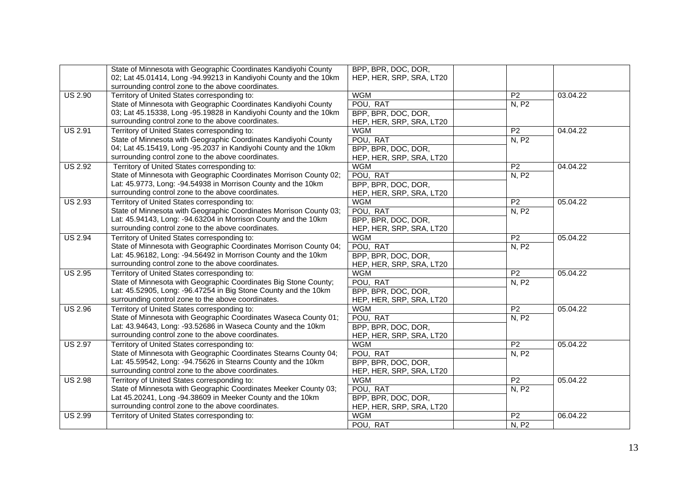|                | State of Minnesota with Geographic Coordinates Kandiyohi County    | BPP, BPR, DOC, DOR,      |                 |          |
|----------------|--------------------------------------------------------------------|--------------------------|-----------------|----------|
|                | 02; Lat 45.01414, Long -94.99213 in Kandiyohi County and the 10km  | HEP, HER, SRP, SRA, LT20 |                 |          |
|                | surrounding control zone to the above coordinates.                 |                          |                 |          |
| <b>US 2.90</b> | Territory of United States corresponding to:                       | <b>WGM</b>               | P <sub>2</sub>  | 03.04.22 |
|                | State of Minnesota with Geographic Coordinates Kandiyohi County    | POU, RAT                 | N, P2           |          |
|                | 03; Lat 45.15338, Long -95.19828 in Kandiyohi County and the 10km  | BPP, BPR, DOC, DOR,      |                 |          |
|                | surrounding control zone to the above coordinates.                 | HEP, HER, SRP, SRA, LT20 |                 |          |
| <b>US 2.91</b> | Territory of United States corresponding to:                       | <b>WGM</b>               | $\overline{P2}$ | 04.04.22 |
|                | State of Minnesota with Geographic Coordinates Kandiyohi County    | POU, RAT                 | N, P2           |          |
|                | 04; Lat 45.15419, Long -95.2037 in Kandiyohi County and the 10km   | BPP, BPR, DOC, DOR,      |                 |          |
|                | surrounding control zone to the above coordinates.                 | HEP, HER, SRP, SRA, LT20 |                 |          |
| <b>US 2.92</b> | Territory of United States corresponding to:                       | <b>WGM</b>               | $\overline{P2}$ | 04.04.22 |
|                | State of Minnesota with Geographic Coordinates Morrison County 02; | POU, RAT                 | N, P2           |          |
|                | Lat: 45.9773, Long: -94.54938 in Morrison County and the 10km      | BPP, BPR, DOC, DOR,      |                 |          |
|                | surrounding control zone to the above coordinates.                 | HEP, HER, SRP, SRA, LT20 |                 |          |
| <b>US 2.93</b> | Territory of United States corresponding to:                       | <b>WGM</b>               | P <sub>2</sub>  | 05.04.22 |
|                | State of Minnesota with Geographic Coordinates Morrison County 03; | POU, RAT                 | N, P2           |          |
|                | Lat: 45.94143, Long: -94.63204 in Morrison County and the 10km     | BPP, BPR, DOC, DOR,      |                 |          |
|                | surrounding control zone to the above coordinates.                 | HEP, HER, SRP, SRA, LT20 |                 |          |
| <b>US 2.94</b> | Territory of United States corresponding to:                       | <b>WGM</b>               | $\overline{P2}$ | 05.04.22 |
|                | State of Minnesota with Geographic Coordinates Morrison County 04; | POU, RAT                 | N, P2           |          |
|                | Lat: 45.96182, Long: -94.56492 in Morrison County and the 10km     | BPP, BPR, DOC, DOR,      |                 |          |
|                | surrounding control zone to the above coordinates.                 | HEP, HER, SRP, SRA, LT20 |                 |          |
| <b>US 2.95</b> | Territory of United States corresponding to:                       | <b>WGM</b>               | P <sub>2</sub>  | 05.04.22 |
|                | State of Minnesota with Geographic Coordinates Big Stone County;   | POU, RAT                 | N, P2           |          |
|                | Lat: 45.52905, Long: -96.47254 in Big Stone County and the 10km    | BPP, BPR, DOC, DOR,      |                 |          |
|                | surrounding control zone to the above coordinates.                 | HEP, HER, SRP, SRA, LT20 |                 |          |
| <b>US 2.96</b> | Territory of United States corresponding to:                       | <b>WGM</b>               | P <sub>2</sub>  | 05.04.22 |
|                | State of Minnesota with Geographic Coordinates Waseca County 01;   | POU, RAT                 | N, P2           |          |
|                | Lat: 43.94643, Long: -93.52686 in Waseca County and the 10km       | BPP, BPR, DOC, DOR,      |                 |          |
|                | surrounding control zone to the above coordinates.                 | HEP, HER, SRP, SRA, LT20 |                 |          |
| <b>US 2.97</b> | Territory of United States corresponding to:                       | <b>WGM</b>               | P <sub>2</sub>  | 05.04.22 |
|                | State of Minnesota with Geographic Coordinates Stearns County 04;  | POU, RAT                 | <b>N, P2</b>    |          |
|                | Lat: 45.59542, Long: -94.75626 in Stearns County and the 10km      | BPP, BPR, DOC, DOR,      |                 |          |
|                | surrounding control zone to the above coordinates.                 | HEP, HER, SRP, SRA, LT20 |                 |          |
| <b>US 2.98</b> | Territory of United States corresponding to:                       | <b>WGM</b>               | P2              | 05.04.22 |
|                | State of Minnesota with Geographic Coordinates Meeker County 03;   | POU, RAT                 | N, P2           |          |
|                | Lat 45.20241, Long -94.38609 in Meeker County and the 10km         | BPP, BPR, DOC, DOR,      |                 |          |
|                | surrounding control zone to the above coordinates.                 | HEP, HER, SRP, SRA, LT20 |                 |          |
| <b>US 2.99</b> | Territory of United States corresponding to:                       | <b>WGM</b>               | P <sub>2</sub>  | 06.04.22 |
|                |                                                                    | POU, RAT                 | N, P2           |          |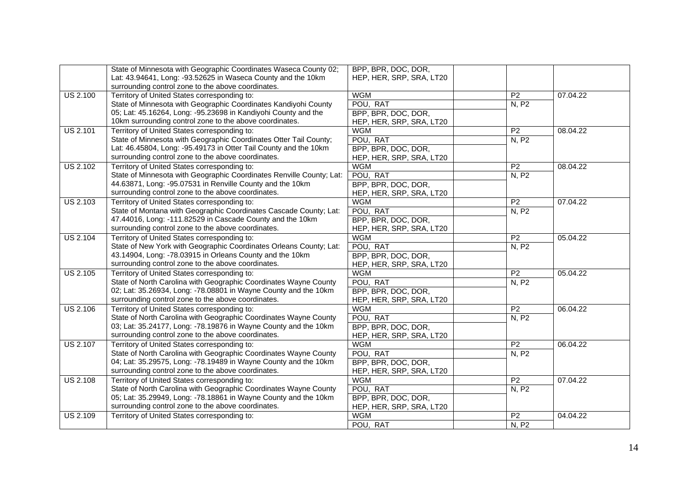|                 | State of Minnesota with Geographic Coordinates Waseca County 02;     | BPP, BPR, DOC, DOR,      |                 |          |
|-----------------|----------------------------------------------------------------------|--------------------------|-----------------|----------|
|                 | Lat: 43.94641, Long: -93.52625 in Waseca County and the 10km         | HEP, HER, SRP, SRA, LT20 |                 |          |
|                 | surrounding control zone to the above coordinates.                   |                          |                 |          |
| <b>US 2.100</b> | Territory of United States corresponding to:                         | <b>WGM</b>               | P <sub>2</sub>  | 07.04.22 |
|                 | State of Minnesota with Geographic Coordinates Kandiyohi County      | POU, RAT                 | N, P2           |          |
|                 | 05; Lat: 45.16264, Long: -95.23698 in Kandiyohi County and the       | BPP, BPR, DOC, DOR,      |                 |          |
|                 | 10km surrounding control zone to the above coordinates.              | HEP, HER, SRP, SRA, LT20 |                 |          |
| <b>US 2.101</b> | Territory of United States corresponding to:                         | <b>WGM</b>               | P <sub>2</sub>  | 08.04.22 |
|                 | State of Minnesota with Geographic Coordinates Otter Tail County;    | POU, RAT                 | N, P2           |          |
|                 | Lat: 46.45804, Long: -95.49173 in Otter Tail County and the 10km     | BPP, BPR, DOC, DOR,      |                 |          |
|                 | surrounding control zone to the above coordinates.                   | HEP, HER, SRP, SRA, LT20 |                 |          |
| <b>US 2.102</b> | Territory of United States corresponding to:                         | <b>WGM</b>               | P <sub>2</sub>  | 08.04.22 |
|                 | State of Minnesota with Geographic Coordinates Renville County; Lat: | POU, RAT                 | N, P2           |          |
|                 | 44.63871, Long: -95.07531 in Renville County and the 10km            | BPP, BPR, DOC, DOR,      |                 |          |
|                 | surrounding control zone to the above coordinates.                   | HEP, HER, SRP, SRA, LT20 |                 |          |
| <b>US 2.103</b> | Territory of United States corresponding to:                         | <b>WGM</b>               | P <sub>2</sub>  | 07.04.22 |
|                 | State of Montana with Geographic Coordinates Cascade County; Lat:    | POU, RAT                 | N, P2           |          |
|                 | 47.44016, Long: -111.82529 in Cascade County and the 10km            | BPP, BPR, DOC, DOR,      |                 |          |
|                 | surrounding control zone to the above coordinates.                   | HEP, HER, SRP, SRA, LT20 |                 |          |
| <b>US 2.104</b> | Territory of United States corresponding to:                         | <b>WGM</b>               | P <sub>2</sub>  | 05.04.22 |
|                 | State of New York with Geographic Coordinates Orleans County; Lat:   | POU, RAT                 | N, P2           |          |
|                 | 43.14904, Long: -78.03915 in Orleans County and the 10km             | BPP, BPR, DOC, DOR,      |                 |          |
|                 | surrounding control zone to the above coordinates.                   | HEP, HER, SRP, SRA, LT20 |                 |          |
| <b>US 2.105</b> | Territory of United States corresponding to:                         | <b>WGM</b>               | P <sub>2</sub>  | 05.04.22 |
|                 | State of North Carolina with Geographic Coordinates Wayne County     | POU, RAT                 | N, P2           |          |
|                 | 02; Lat: 35.26934, Long: -78.08801 in Wayne County and the 10km      | BPP, BPR, DOC, DOR,      |                 |          |
|                 | surrounding control zone to the above coordinates.                   | HEP, HER, SRP, SRA, LT20 |                 |          |
| <b>US 2.106</b> | Territory of United States corresponding to:                         | <b>WGM</b>               | P <sub>2</sub>  | 06.04.22 |
|                 | State of North Carolina with Geographic Coordinates Wayne County     | POU, RAT                 | N, P2           |          |
|                 | 03; Lat: 35.24177, Long: -78.19876 in Wayne County and the 10km      | BPP, BPR, DOC, DOR,      |                 |          |
|                 | surrounding control zone to the above coordinates.                   | HEP, HER, SRP, SRA, LT20 |                 |          |
| <b>US 2.107</b> | Territory of United States corresponding to:                         | <b>WGM</b>               | P <sub>2</sub>  | 06.04.22 |
|                 | State of North Carolina with Geographic Coordinates Wayne County     | POU, RAT                 | <b>N, P2</b>    |          |
|                 | 04; Lat: 35.29575, Long: -78.19489 in Wayne County and the 10km      | BPP, BPR, DOC, DOR,      |                 |          |
|                 | surrounding control zone to the above coordinates.                   | HEP, HER, SRP, SRA, LT20 |                 |          |
| <b>US 2.108</b> | Territory of United States corresponding to:                         | <b>WGM</b>               | P2              | 07.04.22 |
|                 | State of North Carolina with Geographic Coordinates Wayne County     | POU, RAT                 | N, P2           |          |
|                 | 05; Lat: 35.29949, Long: -78.18861 in Wayne County and the 10km      | BPP, BPR, DOC, DOR,      |                 |          |
|                 | surrounding control zone to the above coordinates.                   | HEP, HER, SRP, SRA, LT20 |                 |          |
| <b>US 2.109</b> | Territory of United States corresponding to:                         | <b>WGM</b>               | $\overline{P2}$ | 04.04.22 |
|                 |                                                                      | POU, RAT                 | N, P2           |          |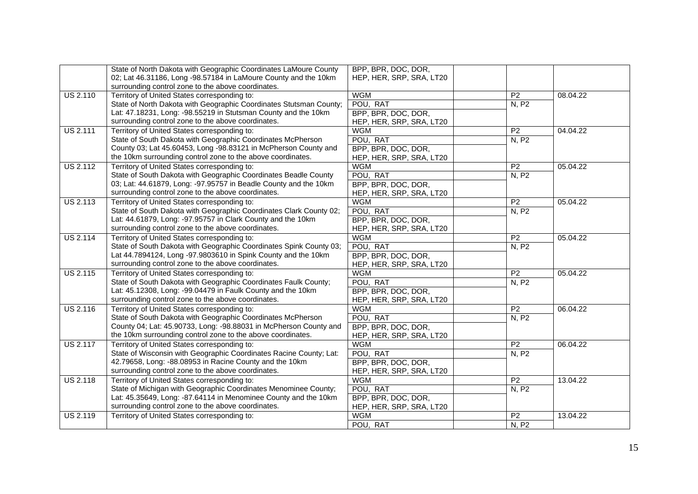|                 | State of North Dakota with Geographic Coordinates LaMoure County   | BPP, BPR, DOC, DOR,      |                 |          |
|-----------------|--------------------------------------------------------------------|--------------------------|-----------------|----------|
|                 | 02; Lat 46.31186, Long -98.57184 in LaMoure County and the 10km    | HEP, HER, SRP, SRA, LT20 |                 |          |
|                 | surrounding control zone to the above coordinates.                 |                          |                 |          |
| <b>US 2.110</b> | Territory of United States corresponding to:                       | <b>WGM</b>               | P <sub>2</sub>  | 08.04.22 |
|                 | State of North Dakota with Geographic Coordinates Stutsman County; | POU, RAT                 | N, P2           |          |
|                 | Lat: 47.18231, Long: -98.55219 in Stutsman County and the 10km     | BPP, BPR, DOC, DOR,      |                 |          |
|                 | surrounding control zone to the above coordinates.                 | HEP, HER, SRP, SRA, LT20 |                 |          |
| <b>US 2.111</b> | Territory of United States corresponding to:                       | <b>WGM</b>               | $\overline{P2}$ | 04.04.22 |
|                 | State of South Dakota with Geographic Coordinates McPherson        | POU, RAT                 | N, P2           |          |
|                 | County 03; Lat 45.60453, Long -98.83121 in McPherson County and    | BPP, BPR, DOC, DOR,      |                 |          |
|                 | the 10km surrounding control zone to the above coordinates.        | HEP, HER, SRP, SRA, LT20 |                 |          |
| <b>US 2.112</b> | Territory of United States corresponding to:                       | <b>WGM</b>               | $\overline{P2}$ | 05.04.22 |
|                 | State of South Dakota with Geographic Coordinates Beadle County    | POU, RAT                 | N, P2           |          |
|                 | 03; Lat: 44.61879, Long: -97.95757 in Beadle County and the 10km   | BPP, BPR, DOC, DOR,      |                 |          |
|                 | surrounding control zone to the above coordinates.                 | HEP, HER, SRP, SRA, LT20 |                 |          |
| <b>US 2.113</b> | Territory of United States corresponding to:                       | <b>WGM</b>               | P <sub>2</sub>  | 05.04.22 |
|                 | State of South Dakota with Geographic Coordinates Clark County 02; | POU, RAT                 | N, P2           |          |
|                 | Lat: 44.61879, Long: -97.95757 in Clark County and the 10km        | BPP, BPR, DOC, DOR,      |                 |          |
|                 | surrounding control zone to the above coordinates.                 | HEP, HER, SRP, SRA, LT20 |                 |          |
| <b>US 2.114</b> | Territory of United States corresponding to:                       | <b>WGM</b>               | P <sub>2</sub>  | 05.04.22 |
|                 | State of South Dakota with Geographic Coordinates Spink County 03; | POU, RAT                 | N, P2           |          |
|                 | Lat 44.7894124, Long -97.9803610 in Spink County and the 10km      | BPP, BPR, DOC, DOR,      |                 |          |
|                 | surrounding control zone to the above coordinates.                 | HEP, HER, SRP, SRA, LT20 |                 |          |
| <b>US 2.115</b> | Territory of United States corresponding to:                       | <b>WGM</b>               | P <sub>2</sub>  | 05.04.22 |
|                 | State of South Dakota with Geographic Coordinates Faulk County;    | POU, RAT                 | N, P2           |          |
|                 | Lat: 45.12308, Long: -99.04479 in Faulk County and the 10km        | BPP, BPR, DOC, DOR,      |                 |          |
|                 | surrounding control zone to the above coordinates.                 | HEP, HER, SRP, SRA, LT20 |                 |          |
| <b>US 2.116</b> | Territory of United States corresponding to:                       | <b>WGM</b>               | P <sub>2</sub>  | 06.04.22 |
|                 | State of South Dakota with Geographic Coordinates McPherson        | POU, RAT                 | N, P2           |          |
|                 | County 04; Lat: 45.90733, Long: -98.88031 in McPherson County and  | BPP, BPR, DOC, DOR,      |                 |          |
|                 | the 10km surrounding control zone to the above coordinates.        | HEP, HER, SRP, SRA, LT20 |                 |          |
| <b>US 2.117</b> | Territory of United States corresponding to:                       | <b>WGM</b>               | P <sub>2</sub>  | 06.04.22 |
|                 | State of Wisconsin with Geographic Coordinates Racine County; Lat: | POU, RAT                 | N, P2           |          |
|                 | 42.79658, Long: -88.08953 in Racine County and the 10km            | BPP, BPR, DOC, DOR,      |                 |          |
|                 | surrounding control zone to the above coordinates.                 | HEP, HER, SRP, SRA, LT20 |                 |          |
| <b>US 2.118</b> | Territory of United States corresponding to:                       | <b>WGM</b>               | P2              | 13.04.22 |
|                 | State of Michigan with Geographic Coordinates Menominee County;    | POU, RAT                 | <b>N, P2</b>    |          |
|                 | Lat: 45.35649, Long: -87.64114 in Menominee County and the 10km    | BPP, BPR, DOC, DOR,      |                 |          |
|                 | surrounding control zone to the above coordinates.                 | HEP, HER, SRP, SRA, LT20 |                 |          |
| <b>US 2.119</b> | Territory of United States corresponding to:                       | <b>WGM</b>               | P <sub>2</sub>  | 13.04.22 |
|                 |                                                                    | POU, RAT                 | N, P2           |          |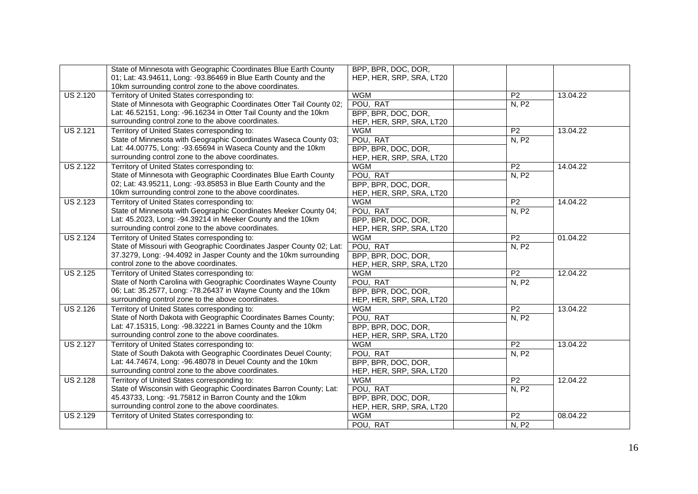|                 | State of Minnesota with Geographic Coordinates Blue Earth County     | BPP, BPR, DOC, DOR,      |                 |          |
|-----------------|----------------------------------------------------------------------|--------------------------|-----------------|----------|
|                 | 01; Lat: 43.94611, Long: -93.86469 in Blue Earth County and the      | HEP, HER, SRP, SRA, LT20 |                 |          |
|                 | 10km surrounding control zone to the above coordinates.              |                          |                 |          |
| <b>US 2.120</b> | Territory of United States corresponding to:                         | <b>WGM</b>               | P <sub>2</sub>  | 13.04.22 |
|                 | State of Minnesota with Geographic Coordinates Otter Tail County 02; | POU, RAT                 | N, P2           |          |
|                 | Lat: 46.52151, Long: -96.16234 in Otter Tail County and the 10km     | BPP, BPR, DOC, DOR,      |                 |          |
|                 | surrounding control zone to the above coordinates.                   | HEP, HER, SRP, SRA, LT20 |                 |          |
| <b>US 2.121</b> | Territory of United States corresponding to:                         | <b>WGM</b>               | $\overline{P2}$ | 13.04.22 |
|                 | State of Minnesota with Geographic Coordinates Waseca County 03;     | POU, RAT                 | N, P2           |          |
|                 | Lat: 44.00775, Long: -93.65694 in Waseca County and the 10km         | BPP, BPR, DOC, DOR,      |                 |          |
|                 | surrounding control zone to the above coordinates.                   | HEP, HER, SRP, SRA, LT20 |                 |          |
| <b>US 2.122</b> | Territory of United States corresponding to:                         | <b>WGM</b>               | $\overline{P2}$ | 14.04.22 |
|                 | State of Minnesota with Geographic Coordinates Blue Earth County     | POU, RAT                 | N, P2           |          |
|                 | 02; Lat: 43.95211, Long: -93.85853 in Blue Earth County and the      | BPP, BPR, DOC, DOR,      |                 |          |
|                 | 10km surrounding control zone to the above coordinates.              | HEP, HER, SRP, SRA, LT20 |                 |          |
| <b>US 2.123</b> | Territory of United States corresponding to:                         | <b>WGM</b>               | P <sub>2</sub>  | 14.04.22 |
|                 | State of Minnesota with Geographic Coordinates Meeker County 04;     | POU, RAT                 | N, P2           |          |
|                 | Lat: 45.2023, Long: -94.39214 in Meeker County and the 10km          | BPP, BPR, DOC, DOR,      |                 |          |
|                 | surrounding control zone to the above coordinates.                   | HEP, HER, SRP, SRA, LT20 |                 |          |
| <b>US 2.124</b> | Territory of United States corresponding to:                         | <b>WGM</b>               | $\overline{P2}$ | 01.04.22 |
|                 | State of Missouri with Geographic Coordinates Jasper County 02; Lat: | POU, RAT                 | N, P2           |          |
|                 | 37.3279, Long: -94.4092 in Jasper County and the 10km surrounding    | BPP, BPR, DOC, DOR,      |                 |          |
|                 | control zone to the above coordinates.                               | HEP, HER, SRP, SRA, LT20 |                 |          |
| <b>US 2.125</b> | Territory of United States corresponding to:                         | <b>WGM</b>               | P2              | 12.04.22 |
|                 | State of North Carolina with Geographic Coordinates Wayne County     | POU, RAT                 | N, P2           |          |
|                 | 06; Lat: 35.2577, Long: -78.26437 in Wayne County and the 10km       | BPP, BPR, DOC, DOR,      |                 |          |
|                 | surrounding control zone to the above coordinates.                   | HEP, HER, SRP, SRA, LT20 |                 |          |
| <b>US 2.126</b> | Territory of United States corresponding to:                         | <b>WGM</b>               | P <sub>2</sub>  | 13.04.22 |
|                 | State of North Dakota with Geographic Coordinates Barnes County;     | POU, RAT                 | N, P2           |          |
|                 | Lat: 47.15315, Long: -98.32221 in Barnes County and the 10km         | BPP, BPR, DOC, DOR,      |                 |          |
|                 | surrounding control zone to the above coordinates.                   | HEP, HER, SRP, SRA, LT20 |                 |          |
| <b>US 2.127</b> | Territory of United States corresponding to:                         | <b>WGM</b>               | P <sub>2</sub>  | 13.04.22 |
|                 | State of South Dakota with Geographic Coordinates Deuel County;      | POU, RAT                 | <b>N, P2</b>    |          |
|                 | Lat: 44.74674, Long: -96.48078 in Deuel County and the 10km          | BPP, BPR, DOC, DOR,      |                 |          |
|                 | surrounding control zone to the above coordinates.                   | HEP, HER, SRP, SRA, LT20 |                 |          |
| <b>US 2.128</b> | Territory of United States corresponding to:                         | <b>WGM</b>               | P2              | 12.04.22 |
|                 | State of Wisconsin with Geographic Coordinates Barron County; Lat:   | POU, RAT                 | N, P2           |          |
|                 | 45.43733, Long: -91.75812 in Barron County and the 10km              | BPP, BPR, DOC, DOR,      |                 |          |
|                 | surrounding control zone to the above coordinates.                   | HEP, HER, SRP, SRA, LT20 |                 |          |
| <b>US 2.129</b> | Territory of United States corresponding to:                         | <b>WGM</b>               | P <sub>2</sub>  | 08.04.22 |
|                 |                                                                      | POU, RAT                 | N, P2           |          |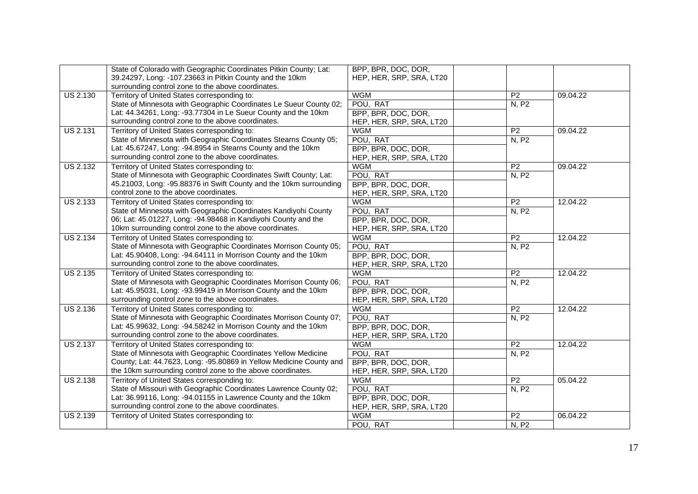|                 | State of Colorado with Geographic Coordinates Pitkin County; Lat:   | BPP, BPR, DOC, DOR,      |                 |          |
|-----------------|---------------------------------------------------------------------|--------------------------|-----------------|----------|
|                 | 39.24297, Long: -107.23663 in Pitkin County and the 10km            | HEP, HER, SRP, SRA, LT20 |                 |          |
|                 | surrounding control zone to the above coordinates.                  |                          |                 |          |
| <b>US 2.130</b> | Territory of United States corresponding to:                        | <b>WGM</b>               | P <sub>2</sub>  | 09.04.22 |
|                 | State of Minnesota with Geographic Coordinates Le Sueur County 02;  | POU, RAT                 | N, P2           |          |
|                 | Lat: 44.34261, Long: -93.77304 in Le Sueur County and the 10km      | BPP, BPR, DOC, DOR,      |                 |          |
|                 | surrounding control zone to the above coordinates.                  | HEP, HER, SRP, SRA, LT20 |                 |          |
| <b>US 2.131</b> | Territory of United States corresponding to:                        | <b>WGM</b>               | $\overline{P2}$ | 09.04.22 |
|                 | State of Minnesota with Geographic Coordinates Stearns County 05;   | POU, RAT                 | N, P2           |          |
|                 | Lat: 45.67247, Long: -94.8954 in Stearns County and the 10km        | BPP, BPR, DOC, DOR,      |                 |          |
|                 | surrounding control zone to the above coordinates.                  | HEP, HER, SRP, SRA, LT20 |                 |          |
| <b>US 2.132</b> | Territory of United States corresponding to:                        | <b>WGM</b>               | P <sub>2</sub>  | 09.04.22 |
|                 | State of Minnesota with Geographic Coordinates Swift County; Lat:   | POU, RAT                 | N, P2           |          |
|                 | 45.21003, Long: -95.88376 in Swift County and the 10km surrounding  | BPP, BPR, DOC, DOR,      |                 |          |
|                 | control zone to the above coordinates.                              | HEP, HER, SRP, SRA, LT20 |                 |          |
| <b>US 2.133</b> | Territory of United States corresponding to:                        | <b>WGM</b>               | P <sub>2</sub>  | 12.04.22 |
|                 | State of Minnesota with Geographic Coordinates Kandiyohi County     | POU, RAT                 | N, P2           |          |
|                 | 06; Lat: 45.01227, Long: -94.98468 in Kandiyohi County and the      | BPP, BPR, DOC, DOR,      |                 |          |
|                 | 10km surrounding control zone to the above coordinates.             | HEP, HER, SRP, SRA, LT20 |                 |          |
| <b>US 2.134</b> | Territory of United States corresponding to:                        | <b>WGM</b>               | P <sub>2</sub>  | 12.04.22 |
|                 | State of Minnesota with Geographic Coordinates Morrison County 05;  | POU, RAT                 | N, P2           |          |
|                 | Lat: 45.90408, Long: -94.64111 in Morrison County and the 10km      | BPP, BPR, DOC, DOR,      |                 |          |
|                 | surrounding control zone to the above coordinates.                  | HEP, HER, SRP, SRA, LT20 |                 |          |
| <b>US 2.135</b> | Territory of United States corresponding to:                        | <b>WGM</b>               | $\overline{P2}$ | 12.04.22 |
|                 | State of Minnesota with Geographic Coordinates Morrison County 06;  | POU, RAT                 | N, P2           |          |
|                 | Lat: 45.95031, Long: -93.99419 in Morrison County and the 10km      | BPP, BPR, DOC, DOR,      |                 |          |
|                 | surrounding control zone to the above coordinates.                  | HEP, HER, SRP, SRA, LT20 |                 |          |
| <b>US 2.136</b> | Territory of United States corresponding to:                        | <b>WGM</b>               | P <sub>2</sub>  | 12.04.22 |
|                 | State of Minnesota with Geographic Coordinates Morrison County 07;  | POU, RAT                 | N, P2           |          |
|                 | Lat: 45.99632, Long: -94.58242 in Morrison County and the 10km      | BPP, BPR, DOC, DOR,      |                 |          |
|                 | surrounding control zone to the above coordinates.                  | HEP, HER, SRP, SRA, LT20 |                 |          |
| <b>US 2.137</b> | Territory of United States corresponding to:                        | <b>WGM</b>               | $\overline{P2}$ | 12.04.22 |
|                 | State of Minnesota with Geographic Coordinates Yellow Medicine      | POU, RAT                 | N, P2           |          |
|                 | County; Lat: 44.7623, Long: -95.80869 in Yellow Medicine County and | BPP, BPR, DOC, DOR,      |                 |          |
|                 | the 10km surrounding control zone to the above coordinates.         | HEP, HER, SRP, SRA, LT20 |                 |          |
| <b>US 2.138</b> | Territory of United States corresponding to:                        | <b>WGM</b>               | P2              | 05.04.22 |
|                 | State of Missouri with Geographic Coordinates Lawrence County 02;   | POU, RAT                 | N, P2           |          |
|                 | Lat: 36.99116, Long: -94.01155 in Lawrence County and the 10km      | BPP, BPR, DOC, DOR,      |                 |          |
|                 | surrounding control zone to the above coordinates.                  | HEP, HER, SRP, SRA, LT20 |                 |          |
| <b>US 2.139</b> | Territory of United States corresponding to:                        | <b>WGM</b>               | P <sub>2</sub>  | 06.04.22 |
|                 |                                                                     | POU, RAT                 | N, P2           |          |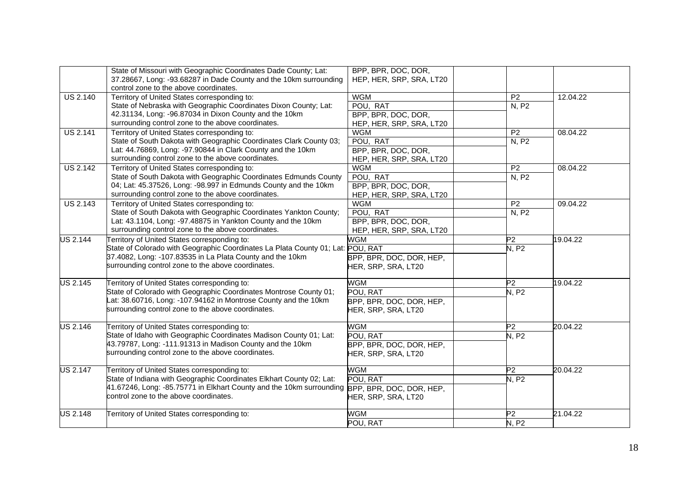|                 | State of Missouri with Geographic Coordinates Dade County; Lat:<br>37.28667, Long: -93.68287 in Dade County and the 10km surrounding                                                                            | BPP, BPR, DOC, DOR,<br>HEP, HER, SRP, SRA, LT20             |                |          |
|-----------------|-----------------------------------------------------------------------------------------------------------------------------------------------------------------------------------------------------------------|-------------------------------------------------------------|----------------|----------|
| <b>US 2.140</b> | control zone to the above coordinates.<br>Territory of United States corresponding to:                                                                                                                          | <b>WGM</b>                                                  | P <sub>2</sub> | 12.04.22 |
|                 | State of Nebraska with Geographic Coordinates Dixon County; Lat:<br>42.31134, Long: -96.87034 in Dixon County and the 10km<br>surrounding control zone to the above coordinates.                                | POU, RAT<br>BPP, BPR, DOC, DOR,<br>HEP, HER, SRP, SRA, LT20 | N, P2          |          |
| <b>US 2.141</b> | Territory of United States corresponding to:                                                                                                                                                                    | <b>WGM</b>                                                  | P <sub>2</sub> | 08.04.22 |
|                 | State of South Dakota with Geographic Coordinates Clark County 03;<br>Lat: 44.76869, Long: -97.90844 in Clark County and the 10km<br>surrounding control zone to the above coordinates.                         | POU, RAT<br>BPP, BPR, DOC, DOR,<br>HEP, HER, SRP, SRA, LT20 | N, P2          |          |
| <b>US 2.142</b> | Territory of United States corresponding to:                                                                                                                                                                    | <b>WGM</b>                                                  | P <sub>2</sub> | 08.04.22 |
|                 | State of South Dakota with Geographic Coordinates Edmunds County<br>04; Lat: 45.37526, Long: -98.997 in Edmunds County and the 10km<br>surrounding control zone to the above coordinates.                       | POU, RAT<br>BPP, BPR, DOC, DOR,<br>HEP, HER, SRP, SRA, LT20 | N, P2          |          |
| <b>US 2.143</b> | Territory of United States corresponding to:                                                                                                                                                                    | <b>WGM</b>                                                  | P <sub>2</sub> | 09.04.22 |
|                 | State of South Dakota with Geographic Coordinates Yankton County;<br>Lat: 43.1104, Long: -97.48875 in Yankton County and the 10km<br>surrounding control zone to the above coordinates.                         | POU, RAT<br>BPP, BPR, DOC, DOR,<br>HEP, HER, SRP, SRA, LT20 | N, P2          |          |
| <b>US 2.144</b> | Territory of United States corresponding to:                                                                                                                                                                    | <b>WGM</b>                                                  | P2             | 19.04.22 |
|                 | State of Colorado with Geographic Coordinates La Plata County 01; Lat: POU, RAT<br>37.4082, Long: -107.83535 in La Plata County and the 10km<br>surrounding control zone to the above coordinates.              | BPP, BPR, DOC, DOR, HEP,<br>HER, SRP, SRA, LT20             | <b>N.P2</b>    |          |
| <b>US 2.145</b> | Ferritory of United States corresponding to:                                                                                                                                                                    | WGM                                                         | P2             | 19.04.22 |
|                 | State of Colorado with Geographic Coordinates Montrose County 01;<br>Lat: 38.60716, Long: -107.94162 in Montrose County and the 10km<br>surrounding control zone to the above coordinates.                      | POU, RAT<br>BPP, BPR, DOC, DOR, HEP,<br>HER, SRP, SRA, LT20 | <b>N, P2</b>   |          |
| <b>US 2.146</b> | Territory of United States corresponding to:<br>State of Idaho with Geographic Coordinates Madison County 01; Lat:                                                                                              | WGM<br>POU, RAT                                             | P2<br>N, P2    | 20.04.22 |
|                 | 43.79787, Long: -111.91313 in Madison County and the 10km<br>surrounding control zone to the above coordinates.                                                                                                 | BPP, BPR, DOC, DOR, HEP,<br>HER, SRP, SRA, LT20             |                |          |
| <b>US 2.147</b> | Territory of United States corresponding to:                                                                                                                                                                    | <b>WGM</b>                                                  | P2             | 20.04.22 |
|                 | State of Indiana with Geographic Coordinates Elkhart County 02; Lat:<br>41.67246, Long: -85.75771 in Elkhart County and the 10km surrounding BPP, BPR, DOC, DOR, HEP,<br>control zone to the above coordinates. | POU, RAT<br>HER, SRP, SRA, LT20                             | N. P2          |          |
| <b>US 2.148</b> | Territory of United States corresponding to:                                                                                                                                                                    | <b>WGM</b><br>POU, RAT                                      | P2<br>N, P2    | 21.04.22 |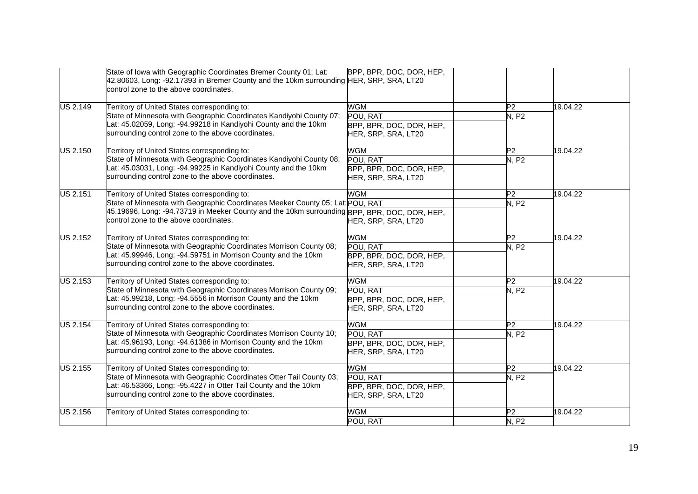|                 | State of Iowa with Geographic Coordinates Bremer County 01; Lat:<br>42.80603, Long: -92.17393 in Bremer County and the 10km surrounding HER, SRP, SRA, LT20<br>control zone to the above coordinates.                                                                    | BPP, BPR, DOC, DOR, HEP,                                                  |                                   |          |
|-----------------|--------------------------------------------------------------------------------------------------------------------------------------------------------------------------------------------------------------------------------------------------------------------------|---------------------------------------------------------------------------|-----------------------------------|----------|
| <b>US 2.149</b> | Territory of United States corresponding to:<br>State of Minnesota with Geographic Coordinates Kandiyohi County 07;<br>at: 45.02059, Long: -94.99218 in Kandiyohi County and the 10km<br>surrounding control zone to the above coordinates.                              | <b>WGM</b><br>POU, RAT<br>BPP, BPR, DOC, DOR, HEP,<br>HER, SRP, SRA, LT20 | P <sub>2</sub><br>N, P2           | 19.04.22 |
| <b>US 2.150</b> | Territory of United States corresponding to:<br>State of Minnesota with Geographic Coordinates Kandiyohi County 08;<br>at: 45.03031, Long: -94.99225 in Kandiyohi County and the 10km<br>surrounding control zone to the above coordinates.                              | <b>WGM</b><br>POU, RAT<br>BPP, BPR, DOC, DOR, HEP,<br>HER, SRP, SRA, LT20 | P2<br><b>N. P2</b>                | 19.04.22 |
| <b>US 2.151</b> | Territory of United States corresponding to:<br>State of Minnesota with Geographic Coordinates Meeker County 05; Lat: POU, RAT<br>45.19696, Long: -94.73719 in Meeker County and the 10km surrounding BPP, BPR, DOC, DOR, HEP,<br>control zone to the above coordinates. | <b>WGM</b><br>HER, SRP, SRA, LT20                                         | $\overline{P2}$<br>N, P2          | 19.04.22 |
| <b>US 2.152</b> | Territory of United States corresponding to:<br>State of Minnesota with Geographic Coordinates Morrison County 08;<br>Lat: 45.99946, Long: -94.59751 in Morrison County and the 10km<br>surrounding control zone to the above coordinates.                               | <b>WGM</b><br>POU, RAT<br>BPP, BPR, DOC, DOR, HEP,<br>HER, SRP, SRA, LT20 | P2<br>N, P2                       | 19.04.22 |
| <b>US 2.153</b> | Territory of United States corresponding to:<br>State of Minnesota with Geographic Coordinates Morrison County 09;<br>Lat: 45.99218, Long: -94.5556 in Morrison County and the 10km<br>surrounding control zone to the above coordinates.                                | <b>WGM</b><br>POU, RAT<br>BPP, BPR, DOC, DOR, HEP,<br>HER, SRP, SRA, LT20 | $\overline{P2}$<br>N, P2          | 19.04.22 |
| <b>US 2.154</b> | Territory of United States corresponding to:<br>State of Minnesota with Geographic Coordinates Morrison County 10;<br>Lat: 45.96193, Long: -94.61386 in Morrison County and the 10km<br>surrounding control zone to the above coordinates.                               | <b>WGM</b><br>POU, RAT<br>BPP, BPR, DOC, DOR, HEP,<br>HER, SRP, SRA, LT20 | $\overline{\mathsf{P}2}$<br>N, P2 | 19.04.22 |
| <b>US 2.155</b> | Territory of United States corresponding to:<br>State of Minnesota with Geographic Coordinates Otter Tail County 03;<br>Lat: 46.53366, Long: -95.4227 in Otter Tail County and the 10km<br>surrounding control zone to the above coordinates.                            | <b>WGM</b><br>POU. RAT<br>BPP, BPR, DOC, DOR, HEP,<br>HER, SRP, SRA, LT20 | P2<br>N, P2                       | 19.04.22 |
| <b>US 2.156</b> | Territory of United States corresponding to:                                                                                                                                                                                                                             | <b>WGM</b><br>POU, RAT                                                    | $\overline{\mathsf{P}2}$<br>N, P2 | 19.04.22 |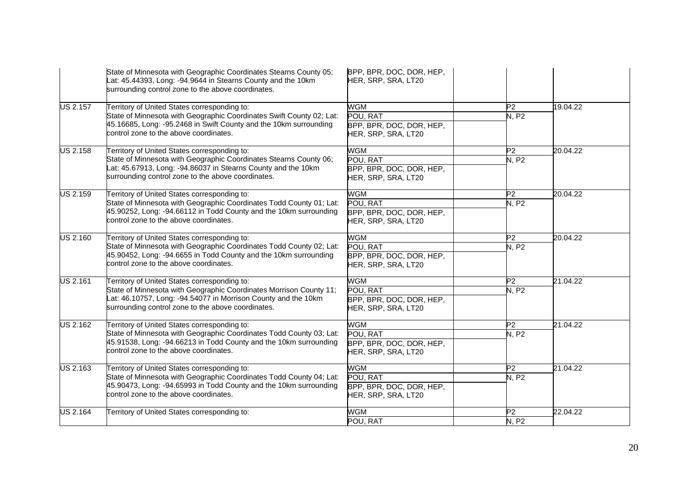|                 | State of Minnesota with Geographic Coordinates Stearns County 05;<br>Lat: 45.44393, Long: -94.9644 in Stearns County and the 10km<br>surrounding control zone to the above coordinates.                                                    | BPP, BPR, DOC, DOR, HEP,<br>HER, SRP, SRA, LT20                           |                                                      |          |
|-----------------|--------------------------------------------------------------------------------------------------------------------------------------------------------------------------------------------------------------------------------------------|---------------------------------------------------------------------------|------------------------------------------------------|----------|
| <b>US 2.157</b> | Territory of United States corresponding to:<br>State of Minnesota with Geographic Coordinates Swift County 02; Lat:<br>45.16685, Long: -95.2468 in Swift County and the 10km surrounding<br>control zone to the above coordinates.        | WGM<br>POU, RAT<br>BPP, BPR, DOC, DOR, HEP,<br>HER, SRP, SRA, LT20        | P <sub>2</sub><br>N. P2                              | 19.04.22 |
| <b>US 2.158</b> | Territory of United States corresponding to:<br>State of Minnesota with Geographic Coordinates Stearns County 06;<br>at: 45.67913, Long: -94.86037 in Stearns County and the 10km<br>surrounding control zone to the above coordinates.    | <b>WGM</b><br>POU, RAT<br>BPP, BPR, DOC, DOR, HEP,<br>HER, SRP, SRA, LT20 | P2<br>N, P2                                          | 20.04.22 |
| US 2.159        | Territory of United States corresponding to:<br>State of Minnesota with Geographic Coordinates Todd County 01; Lat:<br>45.90252, Long: -94.66112 in Todd County and the 10km surrounding<br>control zone to the above coordinates.         | <b>WGM</b><br>POU, RAT<br>BPP, BPR, DOC, DOR, HEP,<br>HER, SRP, SRA, LT20 | P2<br>N, P2                                          | 20.04.22 |
| <b>US 2.160</b> | Territory of United States corresponding to:<br>State of Minnesota with Geographic Coordinates Todd County 02; Lat:<br>45.90452, Long: -94.6655 in Todd County and the 10km surrounding<br>control zone to the above coordinates.          | <b>WGM</b><br>POU, RAT<br>BPP, BPR, DOC, DOR, HEP,<br>HER, SRP, SRA, LT20 | P2<br>N, P2                                          | 20.04.22 |
| <b>US 2.161</b> | Territory of United States corresponding to:<br>State of Minnesota with Geographic Coordinates Morrison County 11;<br>Lat: 46.10757, Long: -94.54077 in Morrison County and the 10km<br>surrounding control zone to the above coordinates. | <b>WGM</b><br>POU, RAT<br>BPP, BPR, DOC, DOR, HEP,<br>HER, SRP, SRA, LT20 | P2<br>$\overline{\mathsf{N}},\overline{\mathsf{P}}2$ | 21.04.22 |
| <b>US 2.162</b> | Territory of United States corresponding to:<br>State of Minnesota with Geographic Coordinates Todd County 03; Lat:<br>45.91538, Long: -94.66213 in Todd County and the 10km surrounding<br>control zone to the above coordinates.         | <b>WGM</b><br>POU, RAT<br>BPP, BPR, DOC, DOR, HEP,<br>HER, SRP, SRA, LT20 | P2<br>N, P2                                          | 21.04.22 |
| US 2.163        | Territory of United States corresponding to:<br>State of Minnesota with Geographic Coordinates Todd County 04; Lat:<br>45.90473, Long: -94.65993 in Todd County and the 10km surrounding<br>control zone to the above coordinates.         | <b>WGM</b><br>POU, RAT<br>BPP, BPR, DOC, DOR, HEP,<br>HER, SRP, SRA, LT20 | P2<br><b>N. P2</b>                                   | 21.04.22 |
| <b>US 2.164</b> | Territory of United States corresponding to:                                                                                                                                                                                               | <b>WGM</b><br>POU, RAT                                                    | P <sub>2</sub><br>N, P2                              | 22.04.22 |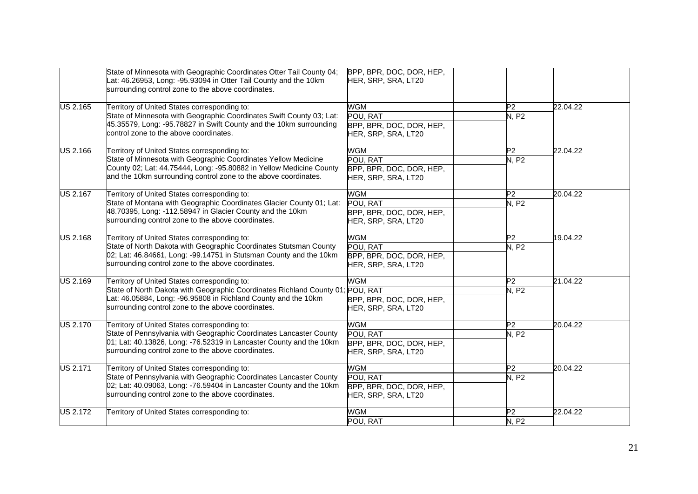|                 | State of Minnesota with Geographic Coordinates Otter Tail County 04;<br>Lat: 46.26953, Long: -95.93094 in Otter Tail County and the 10km<br>surrounding control zone to the above coordinates.                                                           | BPP, BPR, DOC, DOR, HEP,<br>HER, SRP, SRA, LT20                           |                                |          |
|-----------------|----------------------------------------------------------------------------------------------------------------------------------------------------------------------------------------------------------------------------------------------------------|---------------------------------------------------------------------------|--------------------------------|----------|
| <b>US 2.165</b> | Territory of United States corresponding to:<br>State of Minnesota with Geographic Coordinates Swift County 03; Lat:<br>45.35579, Long: -95.78827 in Swift County and the 10km surrounding<br>control zone to the above coordinates.                     | WGM<br>POU, RAT<br>BPP, BPR, DOC, DOR, HEP,<br>HER, SRP, SRA, LT20        | P <sub>2</sub><br><b>N, P2</b> | 22.04.22 |
| <b>US 2.166</b> | Territory of United States corresponding to:<br>State of Minnesota with Geographic Coordinates Yellow Medicine<br>County 02; Lat: 44.75444, Long: -95.80882 in Yellow Medicine County<br>and the 10km surrounding control zone to the above coordinates. | <b>WGM</b><br>POU, RAT<br>BPP, BPR, DOC, DOR, HEP,<br>HER, SRP, SRA, LT20 | P <sub>2</sub><br>N, P2        | 22.04.22 |
| <b>US 2.167</b> | Territory of United States corresponding to:<br>State of Montana with Geographic Coordinates Glacier County 01; Lat:<br>48.70395, Long: -112.58947 in Glacier County and the 10km<br>surrounding control zone to the above coordinates.                  | <b>WGM</b><br>POU, RAT<br>BPP, BPR, DOC, DOR, HEP,<br>HER, SRP, SRA, LT20 | P <sub>2</sub><br>N, P2        | 20.04.22 |
| <b>US 2.168</b> | Territory of United States corresponding to:<br>State of North Dakota with Geographic Coordinates Stutsman County<br>02; Lat: 46.84661, Long: -99.14751 in Stutsman County and the 10km<br>surrounding control zone to the above coordinates.            | <b>WGM</b><br>POU, RAT<br>BPP, BPR, DOC, DOR, HEP,<br>HER, SRP, SRA, LT20 | P2<br>N, P2                    | 19.04.22 |
| <b>US 2.169</b> | Territory of United States corresponding to:<br>State of North Dakota with Geographic Coordinates Richland County 01<br>Lat: 46.05884, Long: -96.95808 in Richland County and the 10km<br>surrounding control zone to the above coordinates.             | <b>WGM</b><br>POU, RAT<br>BPP, BPR, DOC, DOR, HEP,<br>HER, SRP, SRA, LT20 | P2<br><b>N. P2</b>             | 21.04.22 |
| <b>US 2.170</b> | Territory of United States corresponding to:<br>State of Pennsylvania with Geographic Coordinates Lancaster County<br>01; Lat: 40.13826, Long: -76.52319 in Lancaster County and the 10km<br>surrounding control zone to the above coordinates.          | <b>WGM</b><br>POU, RAT<br>BPP, BPR, DOC, DOR, HEP,<br>HER, SRP, SRA, LT20 | $\overline{P2}$<br>N, P2       | 20.04.22 |
| <b>US 2.171</b> | Territory of United States corresponding to:<br>State of Pennsylvania with Geographic Coordinates Lancaster County<br>02; Lat: 40.09063, Long: -76.59404 in Lancaster County and the 10km<br>surrounding control zone to the above coordinates.          | <b>WGM</b><br>POU, RAT<br>BPP, BPR, DOC, DOR, HEP,<br>HER, SRP, SRA, LT20 | P2<br><b>N. P2</b>             | 20.04.22 |
| <b>US 2.172</b> | Territory of United States corresponding to:                                                                                                                                                                                                             | <b>WGM</b><br>POU, RAT                                                    | P <sub>2</sub><br>N, P2        | 22.04.22 |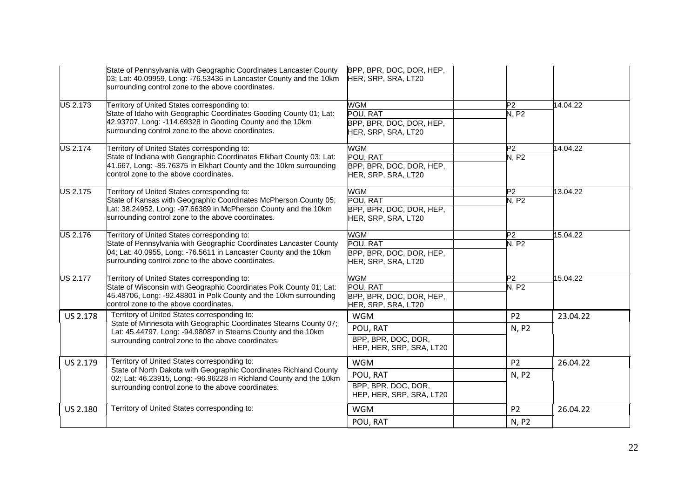|                 | State of Pennsylvania with Geographic Coordinates Lancaster County<br>03; Lat: 40.09959, Long: -76.53436 in Lancaster County and the 10km<br>surrounding control zone to the above coordinates.                                               | BPP, BPR, DOC, DOR, HEP,<br>HER, SRP, SRA, LT20                           |                               |          |
|-----------------|-----------------------------------------------------------------------------------------------------------------------------------------------------------------------------------------------------------------------------------------------|---------------------------------------------------------------------------|-------------------------------|----------|
| <b>US 2.173</b> | Territory of United States corresponding to:<br>State of Idaho with Geographic Coordinates Gooding County 01; Lat:<br>42.93707, Long: -114.69328 in Gooding County and the 10km<br>surrounding control zone to the above coordinates.         | WGM<br>POU, RAT<br>BPP, BPR, DOC, DOR, HEP,<br>HER, SRP, SRA, LT20        | P <sub>2</sub><br>N, P2       | 14.04.22 |
| US 2.174        | Territory of United States corresponding to:<br>State of Indiana with Geographic Coordinates Elkhart County 03; Lat:<br>41.667, Long: -85.76375 in Elkhart County and the 10km surrounding<br>control zone to the above coordinates.          | WGM<br>POU, RAT<br>BPP, BPR, DOC, DOR, HEP,<br>HER, SRP, SRA, LT20        | P2<br>N, P2                   | 14.04.22 |
| <b>US 2.175</b> | Territory of United States corresponding to:<br>State of Kansas with Geographic Coordinates McPherson County 05;<br>Lat: 38.24952, Long: -97.66389 in McPherson County and the 10km<br>surrounding control zone to the above coordinates.     | WGM<br>POU, RAT<br>BPP, BPR, DOC, DOR, HEP,<br>HER, SRP, SRA, LT20        | P <sub>2</sub><br><b>N.P2</b> | 13.04.22 |
| US 2.176        | Territory of United States corresponding to:<br>State of Pennsylvania with Geographic Coordinates Lancaster County<br>04; Lat: 40.0955, Long: -76.5611 in Lancaster County and the 10km<br>surrounding control zone to the above coordinates. | <b>WGM</b><br>POU, RAT<br>BPP, BPR, DOC, DOR, HEP,<br>HER, SRP, SRA, LT20 | P2<br><b>N. P2</b>            | 15.04.22 |
| <b>US 2.177</b> | Territory of United States corresponding to:<br>State of Wisconsin with Geographic Coordinates Polk County 01; Lat:<br>45.48706, Long: -92.48801 in Polk County and the 10km surrounding<br>control zone to the above coordinates.            | <b>WGM</b><br>POU, RAT<br>BPP, BPR, DOC, DOR, HEP,<br>HER, SRP, SRA, LT20 | P2<br><b>N. P2</b>            | 15.04.22 |
| <b>US 2.178</b> | Territory of United States corresponding to:<br>State of Minnesota with Geographic Coordinates Stearns County 07;<br>Lat: 45.44797, Long: -94.98087 in Stearns County and the 10km<br>surrounding control zone to the above coordinates.      | <b>WGM</b><br>POU, RAT<br>BPP, BPR, DOC, DOR,<br>HEP, HER, SRP, SRA, LT20 | P <sub>2</sub><br>N, P2       | 23.04.22 |
| US 2.179        | Territory of United States corresponding to:<br>State of North Dakota with Geographic Coordinates Richland County<br>02; Lat: 46.23915, Long: -96.96228 in Richland County and the 10km<br>surrounding control zone to the above coordinates. | <b>WGM</b><br>POU, RAT<br>BPP, BPR, DOC, DOR,<br>HEP, HER, SRP, SRA, LT20 | P <sub>2</sub><br>N, P2       | 26.04.22 |
| US 2.180        | Territory of United States corresponding to:                                                                                                                                                                                                  | <b>WGM</b><br>POU, RAT                                                    | P <sub>2</sub><br>N, P2       | 26.04.22 |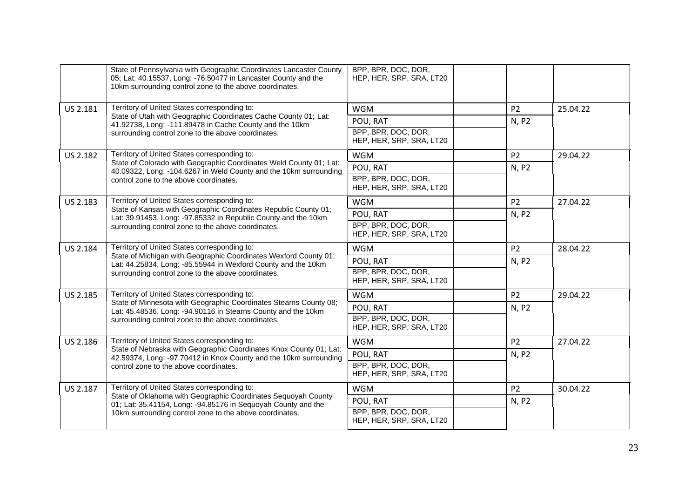|          | State of Pennsylvania with Geographic Coordinates Lancaster County<br>05; Lat: 40.15537, Long: -76.50477 in Lancaster County and the<br>10km surrounding control zone to the above coordinates. | BPP, BPR, DOC, DOR,<br>HEP, HER, SRP, SRA, LT20 |                |          |
|----------|-------------------------------------------------------------------------------------------------------------------------------------------------------------------------------------------------|-------------------------------------------------|----------------|----------|
| US 2.181 | Territory of United States corresponding to:                                                                                                                                                    | <b>WGM</b>                                      | P <sub>2</sub> | 25.04.22 |
|          | State of Utah with Geographic Coordinates Cache County 01; Lat:<br>41.92738, Long: -111.89478 in Cache County and the 10km                                                                      | POU, RAT                                        | N, P2          |          |
|          | surrounding control zone to the above coordinates.                                                                                                                                              | BPP, BPR, DOC, DOR,<br>HEP, HER, SRP, SRA, LT20 |                |          |
| US 2.182 | Territory of United States corresponding to:                                                                                                                                                    | <b>WGM</b>                                      | P <sub>2</sub> | 29.04.22 |
|          | State of Colorado with Geographic Coordinates Weld County 01; Lat:<br>40.09322, Long: -104.6267 in Weld County and the 10km surrounding                                                         | POU, RAT                                        | N, P2          |          |
|          | control zone to the above coordinates.                                                                                                                                                          | BPP, BPR, DOC, DOR,<br>HEP, HER, SRP, SRA, LT20 |                |          |
| US 2.183 | Territory of United States corresponding to:                                                                                                                                                    | <b>WGM</b>                                      | P <sub>2</sub> | 27.04.22 |
|          | State of Kansas with Geographic Coordinates Republic County 01;<br>Lat: 39.91453, Long: -97.85332 in Republic County and the 10km                                                               | POU, RAT                                        | N, P2          |          |
|          | surrounding control zone to the above coordinates.                                                                                                                                              | BPP, BPR, DOC, DOR,<br>HEP, HER, SRP, SRA, LT20 |                |          |
| US 2.184 | Territory of United States corresponding to:                                                                                                                                                    | <b>WGM</b>                                      | P <sub>2</sub> | 28.04.22 |
|          | State of Michigan with Geographic Coordinates Wexford County 01;<br>Lat: 44.25834, Long: -85.55944 in Wexford County and the 10km                                                               | POU, RAT                                        | N, P2          |          |
|          | surrounding control zone to the above coordinates.                                                                                                                                              | BPP, BPR, DOC, DOR,<br>HEP, HER, SRP, SRA, LT20 |                |          |
| US 2.185 | Territory of United States corresponding to:                                                                                                                                                    | <b>WGM</b>                                      | P <sub>2</sub> | 29.04.22 |
|          | State of Minnesota with Geographic Coordinates Stearns County 08;<br>Lat: 45.48536, Long: -94.90116 in Stearns County and the 10km                                                              | POU, RAT                                        | N, P2          |          |
|          | surrounding control zone to the above coordinates.                                                                                                                                              | BPP, BPR, DOC, DOR,<br>HEP, HER, SRP, SRA, LT20 |                |          |
| US 2.186 | Territory of United States corresponding to:                                                                                                                                                    | <b>WGM</b>                                      | P <sub>2</sub> | 27.04.22 |
|          | State of Nebraska with Geographic Coordinates Knox County 01; Lat:<br>42.59374, Long: -97.70412 in Knox County and the 10km surrounding                                                         | POU, RAT                                        | N, P2          |          |
|          | control zone to the above coordinates.                                                                                                                                                          | BPP, BPR, DOC, DOR,<br>HEP, HER, SRP, SRA, LT20 |                |          |
| US 2.187 | Territory of United States corresponding to:                                                                                                                                                    | <b>WGM</b>                                      | P <sub>2</sub> | 30.04.22 |
|          | State of Oklahoma with Geographic Coordinates Sequoyah County<br>01; Lat: 35.41154, Long: -94.85176 in Sequoyah County and the                                                                  | POU, RAT                                        | N, P2          |          |
|          | 10km surrounding control zone to the above coordinates.                                                                                                                                         | BPP, BPR, DOC, DOR,<br>HEP, HER, SRP, SRA, LT20 |                |          |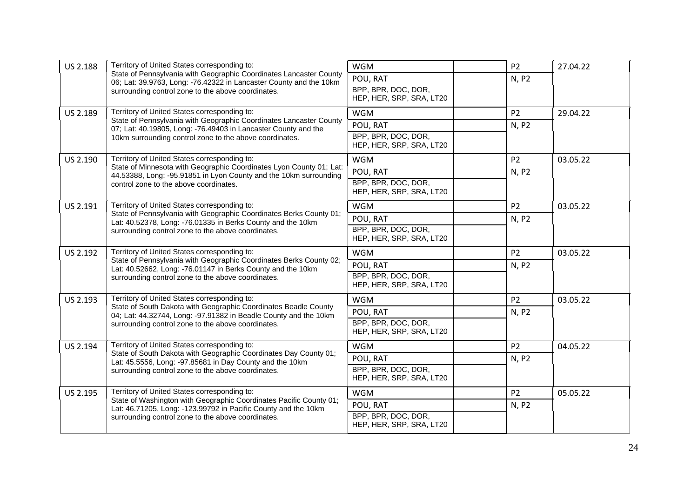| US 2.188 | Territory of United States corresponding to:                                                                                             | <b>WGM</b>                                      | P <sub>2</sub> | 27.04.22 |
|----------|------------------------------------------------------------------------------------------------------------------------------------------|-------------------------------------------------|----------------|----------|
|          | State of Pennsylvania with Geographic Coordinates Lancaster County<br>06; Lat: 39.9763, Long: -76.42322 in Lancaster County and the 10km | POU, RAT                                        | N, P2          |          |
|          | surrounding control zone to the above coordinates.                                                                                       | BPP, BPR, DOC, DOR,                             |                |          |
|          |                                                                                                                                          | HEP, HER, SRP, SRA, LT20                        |                |          |
| US 2.189 | Territory of United States corresponding to:<br>State of Pennsylvania with Geographic Coordinates Lancaster County                       | <b>WGM</b>                                      | P <sub>2</sub> | 29.04.22 |
|          | 07; Lat: 40.19805, Long: -76.49403 in Lancaster County and the                                                                           | POU, RAT                                        | N, P2          |          |
|          | 10km surrounding control zone to the above coordinates.                                                                                  | BPP, BPR, DOC, DOR,<br>HEP, HER, SRP, SRA, LT20 |                |          |
| US 2.190 | Territory of United States corresponding to:                                                                                             | <b>WGM</b>                                      | P <sub>2</sub> | 03.05.22 |
|          | State of Minnesota with Geographic Coordinates Lyon County 01; Lat:<br>44.53388, Long: -95.91851 in Lyon County and the 10km surrounding | POU, RAT                                        | N, P2          |          |
|          | control zone to the above coordinates.                                                                                                   | BPP, BPR, DOC, DOR,<br>HEP, HER, SRP, SRA, LT20 |                |          |
| US 2.191 | Territory of United States corresponding to:                                                                                             | <b>WGM</b>                                      | P <sub>2</sub> | 03.05.22 |
|          | State of Pennsylvania with Geographic Coordinates Berks County 01;<br>Lat: 40.52378, Long: -76.01335 in Berks County and the 10km        | POU, RAT                                        | N, P2          |          |
|          | surrounding control zone to the above coordinates.                                                                                       | BPP, BPR, DOC, DOR,                             |                |          |
|          |                                                                                                                                          | HEP, HER, SRP, SRA, LT20                        |                |          |
| US 2.192 | Territory of United States corresponding to:<br>State of Pennsylvania with Geographic Coordinates Berks County 02;                       | <b>WGM</b>                                      | P <sub>2</sub> | 03.05.22 |
|          | Lat: 40.52662, Long: -76.01147 in Berks County and the 10km                                                                              | POU, RAT                                        | N, P2          |          |
|          | surrounding control zone to the above coordinates.                                                                                       | BPP, BPR, DOC, DOR,<br>HEP, HER, SRP, SRA, LT20 |                |          |
| US 2.193 | Territory of United States corresponding to:                                                                                             | <b>WGM</b>                                      | P <sub>2</sub> | 03.05.22 |
|          | State of South Dakota with Geographic Coordinates Beadle County<br>04; Lat: 44.32744, Long: -97.91382 in Beadle County and the 10km      | POU, RAT                                        | N, P2          |          |
|          | surrounding control zone to the above coordinates.                                                                                       | BPP, BPR, DOC, DOR,<br>HEP, HER, SRP, SRA, LT20 |                |          |
| US 2.194 | Territory of United States corresponding to:                                                                                             | <b>WGM</b>                                      | P <sub>2</sub> | 04.05.22 |
|          | State of South Dakota with Geographic Coordinates Day County 01;<br>Lat: 45.5556, Long: -97.85681 in Day County and the 10km             | POU, RAT                                        | N, P2          |          |
|          | surrounding control zone to the above coordinates.                                                                                       | BPP, BPR, DOC, DOR,<br>HEP, HER, SRP, SRA, LT20 |                |          |
| US 2.195 | Territory of United States corresponding to:                                                                                             | <b>WGM</b>                                      | P <sub>2</sub> | 05.05.22 |
|          | State of Washington with Geographic Coordinates Pacific County 01;<br>Lat: 46.71205, Long: -123.99792 in Pacific County and the 10km     | POU, RAT                                        | N, P2          |          |
|          | surrounding control zone to the above coordinates.                                                                                       | BPP, BPR, DOC, DOR,<br>HEP, HER, SRP, SRA, LT20 |                |          |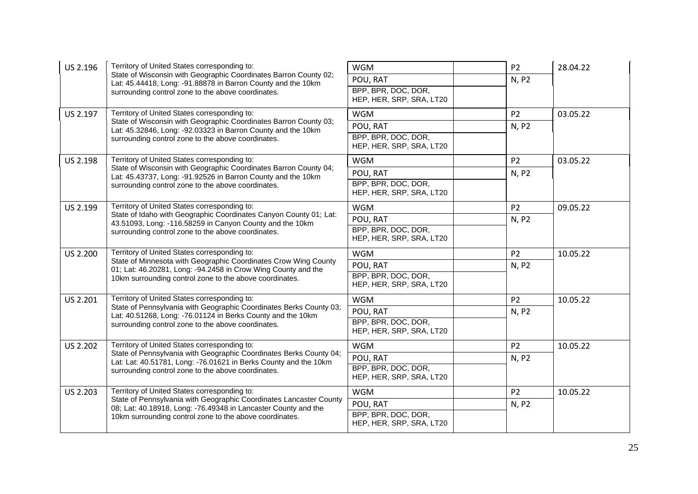| US 2.196        | Territory of United States corresponding to:                                                                                                                                           | <b>WGM</b>                                                  | P <sub>2</sub> | 28.04.22 |
|-----------------|----------------------------------------------------------------------------------------------------------------------------------------------------------------------------------------|-------------------------------------------------------------|----------------|----------|
|                 | State of Wisconsin with Geographic Coordinates Barron County 02;<br>Lat: 45.44418, Long: -91.88878 in Barron County and the 10km<br>surrounding control zone to the above coordinates. | POU, RAT<br>BPP, BPR, DOC, DOR,<br>HEP, HER, SRP, SRA, LT20 | N, P2          |          |
| US 2.197        | Territory of United States corresponding to:                                                                                                                                           | <b>WGM</b>                                                  | P <sub>2</sub> | 03.05.22 |
|                 | State of Wisconsin with Geographic Coordinates Barron County 03;                                                                                                                       | POU, RAT                                                    | N, P2          |          |
|                 | Lat: 45.32846, Long: -92.03323 in Barron County and the 10km<br>surrounding control zone to the above coordinates.                                                                     | BPP, BPR, DOC, DOR,<br>HEP, HER, SRP, SRA, LT20             |                |          |
| US 2.198        | Territory of United States corresponding to:                                                                                                                                           | <b>WGM</b>                                                  | P <sub>2</sub> | 03.05.22 |
|                 | State of Wisconsin with Geographic Coordinates Barron County 04;<br>Lat: 45.43737, Long: -91.92526 in Barron County and the 10km                                                       | POU, RAT                                                    | N, P2          |          |
|                 | surrounding control zone to the above coordinates.                                                                                                                                     | BPP, BPR, DOC, DOR,<br>HEP, HER, SRP, SRA, LT20             |                |          |
| US 2.199        | Territory of United States corresponding to:                                                                                                                                           | <b>WGM</b>                                                  | P <sub>2</sub> | 09.05.22 |
|                 | State of Idaho with Geographic Coordinates Canyon County 01; Lat:<br>43.51093, Long: -116.58259 in Canyon County and the 10km                                                          | POU, RAT                                                    | N, P2          |          |
|                 | surrounding control zone to the above coordinates.                                                                                                                                     | BPP, BPR, DOC, DOR,<br>HEP, HER, SRP, SRA, LT20             |                |          |
| US 2.200        | Territory of United States corresponding to:                                                                                                                                           | <b>WGM</b>                                                  | P <sub>2</sub> | 10.05.22 |
|                 | State of Minnesota with Geographic Coordinates Crow Wing County<br>01; Lat: 46.20281, Long: -94.2458 in Crow Wing County and the                                                       | POU, RAT                                                    | N, P2          |          |
|                 | 10km surrounding control zone to the above coordinates.                                                                                                                                | BPP, BPR, DOC, DOR,<br>HEP, HER, SRP, SRA, LT20             |                |          |
| US 2.201        | Territory of United States corresponding to:                                                                                                                                           | <b>WGM</b>                                                  | P <sub>2</sub> | 10.05.22 |
|                 | State of Pennsylvania with Geographic Coordinates Berks County 03;<br>Lat: 40.51268, Long: -76.01124 in Berks County and the 10km                                                      | POU, RAT                                                    | N, P2          |          |
|                 | surrounding control zone to the above coordinates.                                                                                                                                     | BPP, BPR, DOC, DOR,<br>HEP, HER, SRP, SRA, LT20             |                |          |
| <b>US 2.202</b> | Territory of United States corresponding to:                                                                                                                                           | <b>WGM</b>                                                  | <b>P2</b>      | 10.05.22 |
|                 | State of Pennsylvania with Geographic Coordinates Berks County 04;<br>Lat: Lat: 40.51781, Long: -76.01621 in Berks County and the 10km                                                 | POU, RAT                                                    | N, P2          |          |
|                 | surrounding control zone to the above coordinates.                                                                                                                                     | BPP, BPR, DOC, DOR,<br>HEP, HER, SRP, SRA, LT20             |                |          |
| US 2.203        | Territory of United States corresponding to:                                                                                                                                           | <b>WGM</b>                                                  | P <sub>2</sub> | 10.05.22 |
|                 | State of Pennsylvania with Geographic Coordinates Lancaster County<br>08; Lat: 40.18918, Long: -76.49348 in Lancaster County and the                                                   | POU, RAT                                                    | N, P2          |          |
|                 | 10km surrounding control zone to the above coordinates.                                                                                                                                | BPP, BPR, DOC, DOR,<br>HEP, HER, SRP, SRA, LT20             |                |          |